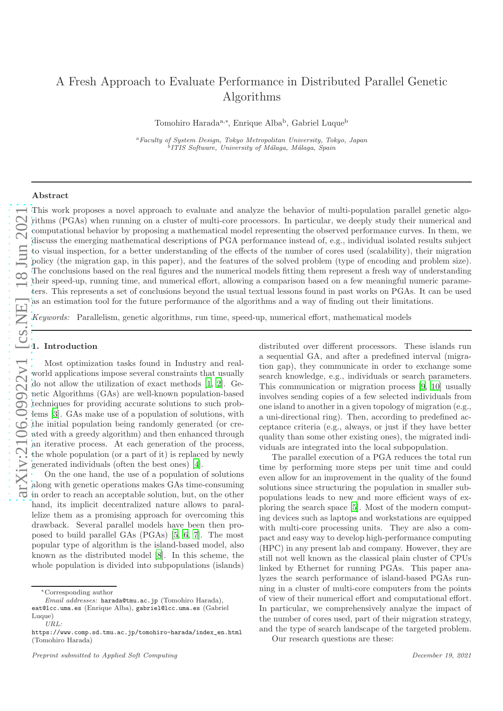# A Fresh Approach to Evaluate Performance in Distributed Parallel Genetic Algorithms

Tomohiro Harada<sup>a,\*</sup>, Enrique Alba<sup>b</sup>, Gabriel Luque<sup>b</sup>

<sup>a</sup>Faculty of System Design, Tokyo Metropolitan University, Tokyo, Japan <sup>b</sup> ITIS Software, University of Málaga, Málaga, Spain

#### Abstract

This work proposes a novel approach to evaluate and analyze the behavior of multi-population parallel genetic algorithms (PGAs) when running on a cluster of multi-core processors. In particular, we deeply study their numerical and computational behavior by proposing a mathematical model representing the observed performance curves. In them, we discuss the emerging mathematical descriptions of PGA performance instead of, e.g., individual isolated results subject to visual inspection, for a better understanding of the effects of the number of cores used (scalability), their migration policy (the migration gap, in this paper), and the features of the solved problem (type of encoding and problem size). The conclusions based on the real figures and the numerical models fitting them represent a fresh way of understanding their speed-up, running time, and numerical effort, allowing a comparison based on a few meaningful numeric parameters. This represents a set of conclusions beyond the usual textual lessons found in past works on PGAs. It can be used as an estimation tool for the future performance of the algorithms and a way of finding out their limitations.

*Keywords:* Parallelism, genetic algorithms, run time, speed-up, numerical effort, mathematical models

#### 1. Introduction

Most optimization tasks found in Industry and realworld applications impose several constraints that usually do not allow the utilization of exact methods [\[1,](#page-18-0) [2](#page-18-1)]. Genetic Algorithms (GAs) are well-known population-based techniques for providing accurate solutions to such problems [\[3](#page-18-2)]. GAs make use of a population of solutions, with the initial population being randomly generated (or created with a greedy algorithm) and then enhanced through an iterative process. At each generation of the process, the whole population (or a part of it) is replaced by newly generated individuals (often the best ones) [\[4](#page-19-0)].

On the one hand, the use of a population of solutions along with genetic operations makes GAs time-consuming in order to reach an acceptable solution, but, on the other hand, its implicit decentralized nature allows to parallelize them as a promising approach for overcoming this drawback. Several parallel models have been then proposed to build parallel GAs (PGAs) [\[5,](#page-19-1) [6](#page-19-2), [7](#page-19-3)]. The most popular type of algorithm is the island-based model, also known as the distributed model [\[8](#page-19-4)]. In this scheme, the whole population is divided into subpopulations (islands)

distributed over different processors. These islands run a sequential GA, and after a predefined interval (migration gap), they communicate in order to exchange some search knowledge, e.g., individuals or search parameters. This communication or migration process [\[9](#page-19-5), [10\]](#page-19-6) usually involves sending copies of a few selected individuals from one island to another in a given topology of migration (e.g., a uni-directional ring). Then, according to predefined acceptance criteria (e.g., always, or just if they have better quality than some other existing ones), the migrated individuals are integrated into the local subpopulation.

The parallel execution of a PGA reduces the total run time by performing more steps per unit time and could even allow for an improvement in the quality of the found solutions since structuring the population in smaller subpopulations leads to new and more efficient ways of exploring the search space [\[5\]](#page-19-1). Most of the modern computing devices such as laptops and workstations are equipped with multi-core processing units. They are also a compact and easy way to develop high-performance computing (HPC) in any present lab and company. However, they are still not well known as the classical plain cluster of CPUs linked by Ethernet for running PGAs. This paper analyzes the search performance of island-based PGAs running in a cluster of multi-core computers from the points of view of their numerical effort and computational effort. In particular, we comprehensively analyze the impact of the number of cores used, part of their migration strategy, and the type of search landscape of the targeted problem.

Our research questions are these:

<sup>∗</sup>Corresponding author

Email addresses: harada@tmu.ac.jp (Tomohiro Harada),

eat@lcc.uma.es (Enrique Alba), gabriel@lcc.uma.es (Gabriel Luque) URL:

https://www.comp.sd.tmu.ac.jp/tomohiro-harada/index\_en.html (Tomohiro Harada)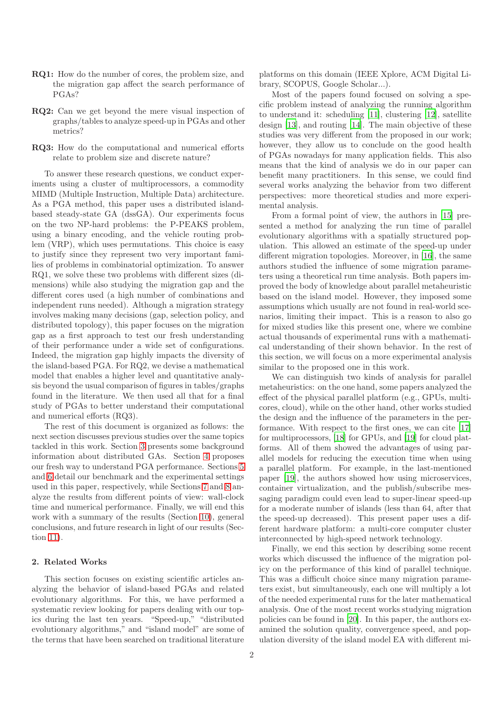- RQ1: How do the number of cores, the problem size, and the migration gap affect the search performance of PGAs?
- RQ2: Can we get beyond the mere visual inspection of graphs/tables to analyze speed-up in PGAs and other metrics?
- RQ3: How do the computational and numerical efforts relate to problem size and discrete nature?

To answer these research questions, we conduct experiments using a cluster of multiprocessors, a commodity MIMD (Multiple Instruction, Multiple Data) architecture. As a PGA method, this paper uses a distributed islandbased steady-state GA (dssGA). Our experiments focus on the two NP-hard problems: the P-PEAKS problem, using a binary encoding, and the vehicle routing problem (VRP), which uses permutations. This choice is easy to justify since they represent two very important families of problems in combinatorial optimization. To answer RQ1, we solve these two problems with different sizes (dimensions) while also studying the migration gap and the different cores used (a high number of combinations and independent runs needed). Although a migration strategy involves making many decisions (gap, selection policy, and distributed topology), this paper focuses on the migration gap as a first approach to test our fresh understanding of their performance under a wide set of configurations. Indeed, the migration gap highly impacts the diversity of the island-based PGA. For RQ2, we devise a mathematical model that enables a higher level and quantitative analysis beyond the usual comparison of figures in tables/graphs found in the literature. We then used all that for a final study of PGAs to better understand their computational and numerical efforts (RQ3).

The rest of this document is organized as follows: the next section discusses previous studies over the same topics tackled in this work. Section [3](#page-2-0) presents some background information about distributed GAs. Section [4](#page-2-1) proposes our fresh way to understand PGA performance. Sections [5](#page-3-0) and [6](#page-4-0) detail our benchmark and the experimental settings used in this paper, respectively, while Sections [7](#page-6-0) and [8](#page-7-0) analyze the results from different points of view: wall-clock time and numerical performance. Finally, we will end this work with a summary of the results (Section [10\)](#page-14-0), general conclusions, and future research in light of our results (Section [11\)](#page-14-1).

## 2. Related Works

This section focuses on existing scientific articles analyzing the behavior of island-based PGAs and related evolutionary algorithms. For this, we have performed a systematic review looking for papers dealing with our topics during the last ten years. "Speed-up," "distributed evolutionary algorithms," and "island model" are some of the terms that have been searched on traditional literature

platforms on this domain (IEEE Xplore, ACM Digital Library, SCOPUS, Google Scholar...).

Most of the papers found focused on solving a specific problem instead of analyzing the running algorithm to understand it: scheduling [\[11](#page-19-7)], clustering [\[12\]](#page-19-8), satellite design [\[13\]](#page-19-9), and routing [\[14\]](#page-19-10). The main objective of these studies was very different from the proposed in our work; however, they allow us to conclude on the good health of PGAs nowadays for many application fields. This also means that the kind of analysis we do in our paper can benefit many practitioners. In this sense, we could find several works analyzing the behavior from two different perspectives: more theoretical studies and more experimental analysis.

From a formal point of view, the authors in [\[15\]](#page-19-11) presented a method for analyzing the run time of parallel evolutionary algorithms with a spatially structured population. This allowed an estimate of the speed-up under different migration topologies. Moreover, in [\[16\]](#page-19-12), the same authors studied the influence of some migration parameters using a theoretical run time analysis. Both papers improved the body of knowledge about parallel metaheuristic based on the island model. However, they imposed some assumptions which usually are not found in real-world scenarios, limiting their impact. This is a reason to also go for mixed studies like this present one, where we combine actual thousands of experimental runs with a mathematical understanding of their shown behavior. In the rest of this section, we will focus on a more experimental analysis similar to the proposed one in this work.

We can distinguish two kinds of analysis for parallel metaheuristics: on the one hand, some papers analyzed the effect of the physical parallel platform (e.g., GPUs, multicores, cloud), while on the other hand, other works studied the design and the influence of the parameters in the performance. With respect to the first ones, we can cite [\[17\]](#page-19-13) for multiprocessors, [\[18\]](#page-19-14) for GPUs, and [\[19\]](#page-19-15) for cloud platforms. All of them showed the advantages of using parallel models for reducing the execution time when using a parallel platform. For example, in the last-mentioned paper [\[19](#page-19-15)], the authors showed how using microservices, container virtualization, and the publish/subscribe messaging paradigm could even lead to super-linear speed-up for a moderate number of islands (less than 64, after that the speed-up decreased). This present paper uses a different hardware platform: a multi-core computer cluster interconnected by high-speed network technology.

Finally, we end this section by describing some recent works which discussed the influence of the migration policy on the performance of this kind of parallel technique. This was a difficult choice since many migration parameters exist, but simultaneously, each one will multiply a lot of the needed experimental runs for the later mathematical analysis. One of the most recent works studying migration policies can be found in [\[20\]](#page-19-16). In this paper, the authors examined the solution quality, convergence speed, and population diversity of the island model EA with different mi-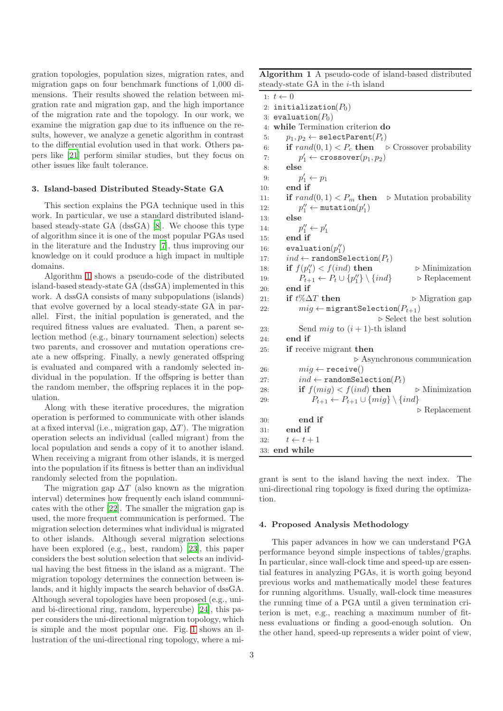gration topologies, population sizes, migration rates, and migration gaps on four benchmark functions of 1,000 dimensions. Their results showed the relation between migration rate and migration gap, and the high importance of the migration rate and the topology. In our work, we examine the migration gap due to its influence on the results, however, we analyze a genetic algorithm in contrast to the differential evolution used in that work. Others papers like [\[21](#page-20-0)] perform similar studies, but they focus on other issues like fault tolerance.

#### <span id="page-2-0"></span>3. Island-based Distributed Steady-State GA

This section explains the PGA technique used in this work. In particular, we use a standard distributed islandbased steady-state GA (dssGA) [\[8\]](#page-19-4). We choose this type of algorithm since it is one of the most popular PGAs used in the literature and the Industry [\[7\]](#page-19-3), thus improving our knowledge on it could produce a high impact in multiple domains.

Algorithm [1](#page-2-2) shows a pseudo-code of the distributed island-based steady-state GA (dssGA) implemented in this work. A dssGA consists of many subpopulations (islands) that evolve governed by a local steady-state GA in parallel. First, the initial population is generated, and the required fitness values are evaluated. Then, a parent selection method (e.g., binary tournament selection) selects two parents, and crossover and mutation operations create a new offspring. Finally, a newly generated offspring is evaluated and compared with a randomly selected individual in the population. If the offspring is better than the random member, the offspring replaces it in the population.

Along with these iterative procedures, the migration operation is performed to communicate with other islands at a fixed interval (i.e., migration gap,  $\Delta T$ ). The migration operation selects an individual (called migrant) from the local population and sends a copy of it to another island. When receiving a migrant from other islands, it is merged into the population if its fitness is better than an individual randomly selected from the population.

The migration gap  $\Delta T$  (also known as the migration interval) determines how frequently each island communicates with the other [\[22\]](#page-20-1). The smaller the migration gap is used, the more frequent communication is performed. The migration selection determines what individual is migrated to other islands. Although several migration selections have been explored (e.g., best, random) [\[23](#page-20-2)], this paper considers the best solution selection that selects an individual having the best fitness in the island as a migrant. The migration topology determines the connection between islands, and it highly impacts the search behavior of dssGA. Although several topologies have been proposed (e.g., uniand bi-directional ring, random, hypercube) [\[24](#page-20-3)], this paper considers the uni-directional migration topology, which is simple and the most popular one. Fig. [1](#page-3-1) shows an illustration of the uni-directional ring topology, where a mi-

<span id="page-2-2"></span>Algorithm 1 A pseudo-code of island-based distributed steady-state GA in the  $i$ -th island

|     | 1: $t \leftarrow 0$                                                                       |
|-----|-------------------------------------------------------------------------------------------|
| 2:  | initialization $(P_0)$                                                                    |
|     | 3: evaluation $(P_0)$                                                                     |
|     | 4: while Termination criterion do                                                         |
| 5:  | $p_1, p_2 \leftarrow \mathtt{selectParent}(P_t)$                                          |
| 6:  | <b>if</b> $rand(0, 1) < P_c$ <b>then</b> $\triangleright$ Crossover probability           |
| 7:  | $p'_1 \leftarrow \texttt{crossover}(p_1, p_2)$                                            |
| 8:  | else                                                                                      |
| 9:  | $p'_1 \leftarrow p_1$                                                                     |
| 10: | end if                                                                                    |
| 11: | <b>if</b> $rand(0, 1) < P_m$ <b>then</b> $\triangleright$ Mutation probability            |
| 12: | $p_1'' \leftarrow \text{mutation}(p_1')$                                                  |
| 13: | else                                                                                      |
| 14: | $p_1'' \leftarrow p_1'$                                                                   |
| 15: | end if                                                                                    |
| 16: | evaluation $(p''_1)$                                                                      |
| 17: | $ind \leftarrow$ randomSelection( $P_t$ )                                                 |
| 18: | if $f(p_1'') < f(ind)$ then<br>$\triangleright$ Minimization                              |
| 19: | $P_{t+1} \leftarrow P_t \cup \{p''_1\} \setminus \{ind\}$<br>$\triangleright$ Replacement |
| 20: | end if                                                                                    |
| 21: | if $t\%\Delta T$ then<br>$\triangleright$ Migration gap                                   |
| 22: | $mig \leftarrow \texttt{migrantSelection}(P_{t+1})$                                       |
|     | $\triangleright$ Select the best solution                                                 |
| 23: | Send <i>mig</i> to $(i + 1)$ -th island                                                   |
| 24: | end if                                                                                    |
| 25: | <b>if</b> receive migrant then                                                            |
|     | $\triangleright$ Asynchronous communication                                               |
| 26: | $mig \leftarrow \texttt{receive}()$                                                       |
| 27: | $ind \leftarrow \texttt{randomSelection}(P_t)$                                            |
| 28: | if $f(mig) < f(ind)$ then<br>$\triangleright$ Minimization                                |
| 29: | $P_{t+1} \leftarrow P_{t+1} \cup \{mig\} \setminus \{ind\}$                               |
|     | $\triangleright$ Replacement                                                              |
| 30: | end if                                                                                    |
| 31: | end if                                                                                    |
| 32: | $t \leftarrow t + 1$                                                                      |
|     | 33: <b>end while</b>                                                                      |

grant is sent to the island having the next index. The uni-directional ring topology is fixed during the optimization.

#### <span id="page-2-1"></span>4. Proposed Analysis Methodology

This paper advances in how we can understand PGA performance beyond simple inspections of tables/graphs. In particular, since wall-clock time and speed-up are essential features in analyzing PGAs, it is worth going beyond previous works and mathematically model these features for running algorithms. Usually, wall-clock time measures the running time of a PGA until a given termination criterion is met, e.g., reaching a maximum number of fitness evaluations or finding a good-enough solution. On the other hand, speed-up represents a wider point of view,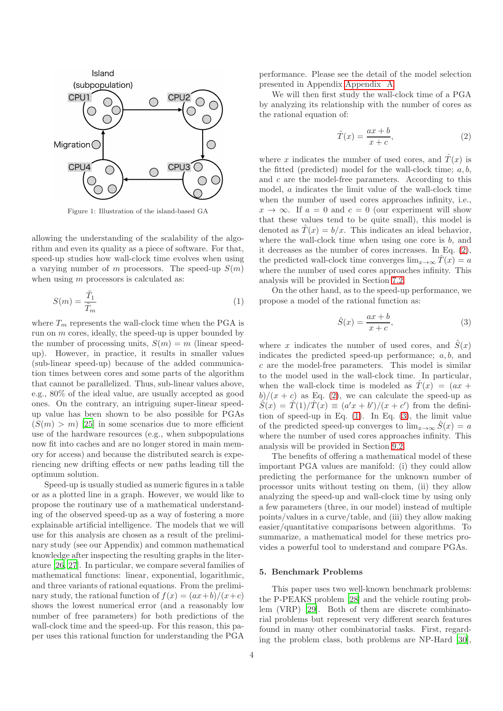<span id="page-3-1"></span>

Figure 1: Illustration of the island-based GA

allowing the understanding of the scalability of the algorithm and even its quality as a piece of software. For that, speed-up studies how wall-clock time evolves when using a varying number of m processors. The speed-up  $S(m)$ when using m processors is calculated as:

<span id="page-3-3"></span>
$$
S(m) = \frac{\tilde{T}_1}{\tilde{T}_m} \tag{1}
$$

where  $T_m$  represents the wall-clock time when the PGA is run on  $m$  cores, ideally, the speed-up is upper bounded by the number of processing units,  $S(m) = m$  (linear speedup). However, in practice, it results in smaller values (sub-linear speed-up) because of the added communication times between cores and some parts of the algorithm that cannot be parallelized. Thus, sub-linear values above, e.g., 80% of the ideal value, are usually accepted as good ones. On the contrary, an intriguing super-linear speedup value has been shown to be also possible for PGAs  $(S(m) > m)$  [\[25\]](#page-20-4) in some scenarios due to more efficient use of the hardware resources (e.g., when subpopulations now fit into caches and are no longer stored in main memory for access) and because the distributed search is experiencing new drifting effects or new paths leading till the optimum solution.

Speed-up is usually studied as numeric figures in a table or as a plotted line in a graph. However, we would like to propose the routinary use of a mathematical understanding of the observed speed-up as a way of fostering a more explainable artificial intelligence. The models that we will use for this analysis are chosen as a result of the preliminary study (see our Appendix) and common mathematical knowledge after inspecting the resulting graphs in the literature [\[26,](#page-20-5) [27\]](#page-20-6). In particular, we compare several families of mathematical functions: linear, exponential, logarithmic, and three variants of rational equations. From the preliminary study, the rational function of  $f(x) = (ax+b)/(x+c)$ shows the lowest numerical error (and a reasonably low number of free parameters) for both predictions of the wall-clock time and the speed-up. For this reason, this paper uses this rational function for understanding the PGA

performance. Please see the detail of the model selection presented in Appendix [Appendix A.](#page-16-0)

We will then first study the wall-clock time of a PGA by analyzing its relationship with the number of cores as the rational equation of:

<span id="page-3-2"></span>
$$
\hat{T}(x) = \frac{ax+b}{x+c},\tag{2}
$$

where x indicates the number of used cores, and  $\hat{T}(x)$  is the fitted (predicted) model for the wall-clock time;  $a, b$ , and c are the model-free parameters. According to this model, a indicates the limit value of the wall-clock time when the number of used cores approaches infinity, i.e.,  $x \to \infty$ . If  $a = 0$  and  $c = 0$  (our experiment will show that these values tend to be quite small), this model is denoted as  $\hat{T}(x) = b/x$ . This indicates an ideal behavior, where the wall-clock time when using one core is  $b$ , and it decreases as the number of cores increases. In Eq. [\(2\)](#page-3-2), the predicted wall-clock time converges  $\lim_{x\to\infty} T(x) = a$ where the number of used cores approaches infinity. This analysis will be provided in Section [7.2.](#page-7-1)

On the other hand, as to the speed-up performance, we propose a model of the rational function as:

<span id="page-3-4"></span>
$$
\hat{S}(x) = \frac{ax+b}{x+c},\tag{3}
$$

where x indicates the number of used cores, and  $\hat{S}(x)$ indicates the predicted speed-up performance;  $a, b$ , and  $c$  are the model-free parameters. This model is similar to the model used in the wall-clock time. In particular, when the wall-clock time is modeled as  $\hat{T}(x) = (ax +$  $b/(x + c)$  as Eq. [\(2\)](#page-3-2), we can calculate the speed-up as  $\hat{S}(x) = \hat{T}(1)/\hat{T}(x) \equiv (a'x + b')/(x + c')$  from the definition of speed-up in Eq.  $(1)$ . In Eq.  $(3)$ , the limit value of the predicted speed-up converges to  $\lim_{x\to\infty} S(x) = a$ where the number of used cores approaches infinity. This analysis will be provided in Section [9.2.](#page-12-0)

The benefits of offering a mathematical model of these important PGA values are manifold: (i) they could allow predicting the performance for the unknown number of processor units without testing on them, (ii) they allow analyzing the speed-up and wall-clock time by using only a few parameters (three, in our model) instead of multiple points/values in a curve/table, and (iii) they allow making easier/quantitative comparisons between algorithms. To summarize, a mathematical model for these metrics provides a powerful tool to understand and compare PGAs.

### <span id="page-3-0"></span>5. Benchmark Problems

This paper uses two well-known benchmark problems: the P-PEAKS problem [\[28\]](#page-20-7) and the vehicle routing problem (VRP) [\[29\]](#page-20-8). Both of them are discrete combinatorial problems but represent very different search features found in many other combinatorial tasks. First, regarding the problem class, both problems are NP-Hard [\[30](#page-20-9)],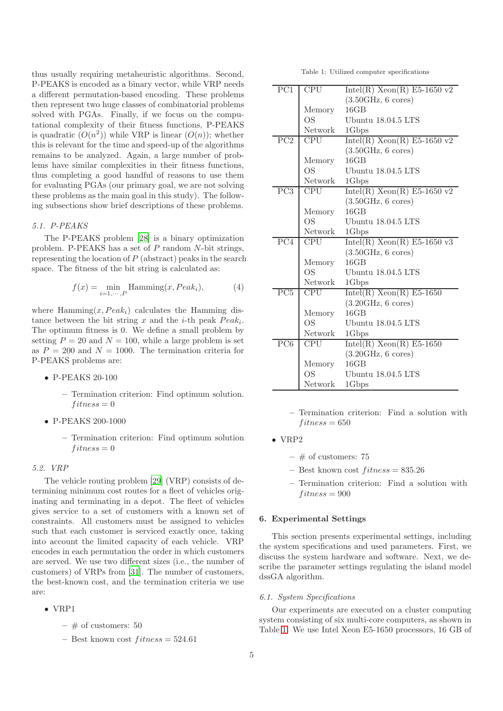thus usually requiring metaheuristic algorithms. Second, P-PEAKS is encoded as a binary vector, while VRP needs a different permutation-based encoding. These problems then represent two huge classes of combinatorial problems solved with PGAs. Finally, if we focus on the computational complexity of their fitness functions, P-PEAKS is quadratic  $(O(n^2))$  while VRP is linear  $(O(n))$ ; whether this is relevant for the time and speed-up of the algorithms remains to be analyzed. Again, a large number of problems have similar complexities in their fitness functions, thus completing a good handful of reasons to use them for evaluating PGAs (our primary goal, we are not solving these problems as the main goal in this study). The following subsections show brief descriptions of these problems.

## *5.1. P-PEAKS*

The P-PEAKS problem [\[28\]](#page-20-7) is a binary optimization problem. P-PEAKS has a set of P random N-bit strings, representing the location of  $P$  (abstract) peaks in the search space. The fitness of the bit string is calculated as:

$$
f(x) = \min_{i=1,\dots,P} \text{Hamming}(x, Peak_i), \tag{4}
$$

where Hamming $(x, Peak_i)$  calculates the Hamming distance between the bit string x and the *i*-th peak  $Peak_i$ . The optimum fitness is 0. We define a small problem by setting  $P = 20$  and  $N = 100$ , while a large problem is set as  $P = 200$  and  $N = 1000$ . The termination criteria for P-PEAKS problems are:

- P-PEAKS 20-100
	- Termination criterion: Find optimum solution.  $fitness = 0$
- P-PEAKS 200-1000
	- Termination criterion: Find optimum solution  $fitness = 0$

## *5.2. VRP*

The vehicle routing problem [\[29](#page-20-8)] (VRP) consists of determining minimum cost routes for a fleet of vehicles originating and terminating in a depot. The fleet of vehicles gives service to a set of customers with a known set of constraints. All customers must be assigned to vehicles such that each customer is serviced exactly once, taking into account the limited capacity of each vehicle. VRP encodes in each permutation the order in which customers are served. We use two different sizes (i.e., the number of customers) of VRPs from [\[31\]](#page-20-10). The number of customers, the best-known cost, and the termination criteria we use are:

- VRP1
	- $-$  # of customers: 50
	- Best known cost  $fitness = 524.61$

Table 1: Utilized computer specifications

<span id="page-4-1"></span>

| PC1              | <b>CPU</b>    | Intel(R) $Xeon(R)$ E5-1650 v2                           |
|------------------|---------------|---------------------------------------------------------|
|                  |               | $(3.50 \text{GHz}, 6 \text{ cores})$                    |
|                  | Memory        | 16GB                                                    |
|                  | <b>OS</b>     | Ubuntu 18.04.5 LTS                                      |
|                  | Network       | 1Gbps                                                   |
| PC2              | <b>CPU</b>    | Intel $(\overline{R})$ Xeon $(\overline{R})$ E5-1650 v2 |
|                  |               | $(3.50 \text{GHz}, 6 \text{ cores})$                    |
|                  | Memory        | 16GB                                                    |
|                  | OS            | Ubuntu 18.04.5 LTS                                      |
|                  | Network       | 1Gbps                                                   |
| $\overline{PC3}$ | <b>CPU</b>    | Intel(R) Xeon(R) E5-1650 v2                             |
|                  |               | $(3.50 \text{GHz}, 6 \text{ cores})$                    |
|                  | Memory        | 16GB                                                    |
|                  | <b>OS</b>     | Ubuntu 18.04.5 LTS                                      |
|                  | Network       | 1Gbps                                                   |
|                  |               |                                                         |
| PC4              | <b>CPU</b>    | Intel(R) $Xeon(R)$ E5-1650 v3                           |
|                  |               | $(3.50 \text{GHz}, 6 \text{ cores})$                    |
|                  | Memory        | 16GB                                                    |
|                  | OS            | Ubuntu 18.04.5 LTS                                      |
|                  | Network       | 1Gbps                                                   |
| $\overline{PC5}$ | CPU           | $Intel(R) Xeon(R) E5-1650$                              |
|                  |               | $(3.20 \text{GHz}, 6 \text{ cores})$                    |
|                  | Memory        | 16GB                                                    |
|                  | <b>OS</b>     | Ubuntu 18.04.5 LTS                                      |
|                  | Network       | 1Gbps                                                   |
| PC <sub>6</sub>  | <b>CPU</b>    | $Intel(R) Xeon(R) E5-1650$                              |
|                  |               | $(3.20\text{GHz}, 6 \text{ cores})$                     |
|                  | Memory        | 16GB                                                    |
|                  | OS<br>Network | Ubuntu 18.04.5 LTS<br>1Gbps                             |

<sup>–</sup> Termination criterion: Find a solution with  $fitness = 650$ 

- VRP2
	- $-$  # of customers: 75
	- Best known cost  $fitness = 835.26$
	- Termination criterion: Find a solution with  $fitness = 900$

## <span id="page-4-0"></span>6. Experimental Settings

This section presents experimental settings, including the system specifications and used parameters. First, we discuss the system hardware and software. Next, we describe the parameter settings regulating the island model dssGA algorithm.

#### *6.1. System Specifications*

Our experiments are executed on a cluster computing system consisting of six multi-core computers, as shown in Table [1.](#page-4-1) We use Intel Xeon E5-1650 processors, 16 GB of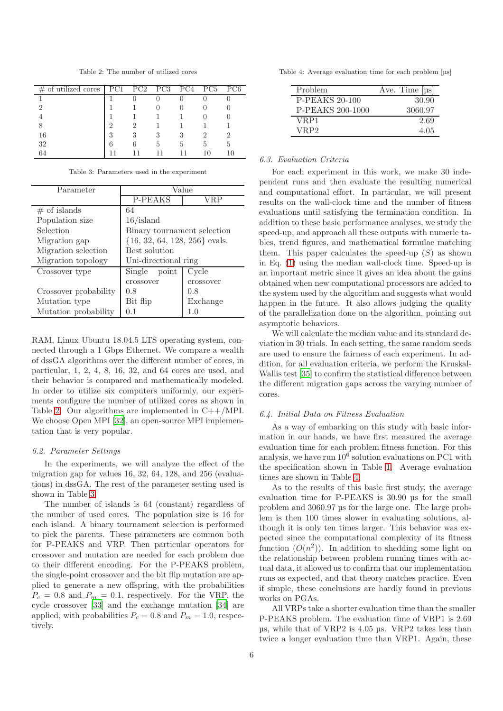Table 2: The number of utilized cores

<span id="page-5-0"></span>

| of utilized cores<br># | PC1 | PC2 | PC3 | PC4 | PC <sub>5</sub> | PC <sub>6</sub> |
|------------------------|-----|-----|-----|-----|-----------------|-----------------|
|                        |     |     |     |     |                 |                 |
| ി                      |     |     |     |     |                 |                 |
|                        |     |     |     |     |                 |                 |
|                        | റ   |     |     |     |                 |                 |
| 16                     | 3   |     | 3   | З   |                 |                 |
| 32                     | 6   |     | h   | h   | h               | h               |
| 64                     |     |     |     |     | 10              | 10              |

Table 3: Parameters used in the experiment

<span id="page-5-1"></span>

| Parameter             |                                   | Value     |
|-----------------------|-----------------------------------|-----------|
|                       | P-PEAKS                           | /RP       |
| $#$ of islands        | 64                                |           |
| Population size       | $16/$ island                      |           |
| Selection             | Binary tournament selection       |           |
| Migration gap         | $\{16, 32, 64, 128, 256\}$ evals. |           |
| Migration selection   | Best solution                     |           |
| Migration topology    | Uni-directional ring              |           |
| Crossover type        | Single<br>point                   | Cycle     |
|                       | crossover                         | crossover |
| Crossover probability | 0.8                               | 0.8       |
| Mutation type         | Bit flip                          | Exchange  |
| Mutation probability  | 0.1                               | 1.0       |

RAM, Linux Ubuntu 18.04.5 LTS operating system, connected through a 1 Gbps Ethernet. We compare a wealth of dssGA algorithms over the different number of cores, in particular, 1, 2, 4, 8, 16, 32, and 64 cores are used, and their behavior is compared and mathematically modeled. In order to utilize six computers uniformly, our experiments configure the number of utilized cores as shown in Table [2.](#page-5-0) Our algorithms are implemented in  $C++/MPI$ . We choose Open MPI [\[32\]](#page-20-11), an open-source MPI implementation that is very popular.

#### *6.2. Parameter Settings*

In the experiments, we will analyze the effect of the migration gap for values 16, 32, 64, 128, and 256 (evaluations) in dssGA. The rest of the parameter setting used is shown in Table [3.](#page-5-1)

The number of islands is 64 (constant) regardless of the number of used cores. The population size is 16 for each island. A binary tournament selection is performed to pick the parents. These parameters are common both for P-PEAKS and VRP. Then particular operators for crossover and mutation are needed for each problem due to their different encoding. For the P-PEAKS problem, the single-point crossover and the bit flip mutation are applied to generate a new offspring, with the probabilities  $P_c = 0.8$  and  $P_m = 0.1$ , respectively. For the VRP, the cycle crossover [\[33](#page-20-12)] and the exchange mutation [\[34\]](#page-21-0) are applied, with probabilities  $P_c = 0.8$  and  $P_m = 1.0$ , respectively.

<span id="page-5-2"></span>Table 4: Average evaluation time for each problem [us]

| Problem               | Ave. Time $[\mu s]$ |
|-----------------------|---------------------|
| <b>P-PEAKS 20-100</b> | 30.90               |
| P-PEAKS 200-1000      | 3060.97             |
| VRP1                  | 2.69                |
| VRP2                  | 4.05                |

## <span id="page-5-3"></span>*6.3. Evaluation Criteria*

For each experiment in this work, we make 30 independent runs and then evaluate the resulting numerical and computational effort. In particular, we will present results on the wall-clock time and the number of fitness evaluations until satisfying the termination condition. In addition to these basic performance analyses, we study the speed-up, and approach all these outputs with numeric tables, trend figures, and mathematical formulae matching them. This paper calculates the speed-up  $(S)$  as shown in Eq. [\(1\)](#page-3-3) using the median wall-clock time. Speed-up is an important metric since it gives an idea about the gains obtained when new computational processors are added to the system used by the algorithm and suggests what would happen in the future. It also allows judging the quality of the parallelization done on the algorithm, pointing out asymptotic behaviors.

We will calculate the median value and its standard deviation in 30 trials. In each setting, the same random seeds are used to ensure the fairness of each experiment. In addition, for all evaluation criteria, we perform the Kruskal-Wallis test [\[35\]](#page-21-1) to confirm the statistical difference between the different migration gaps across the varying number of cores.

## *6.4. Initial Data on Fitness Evaluation*

As a way of embarking on this study with basic information in our hands, we have first measured the average evaluation time for each problem fitness function. For this analysis, we have run  $10^6$  solution evaluations on PC1 with the specification shown in Table [1.](#page-4-1) Average evaluation times are shown in Table [4.](#page-5-2)

As to the results of this basic first study, the average evaluation time for P-PEAKS is 30.90 µs for the small problem and 3060.97 µs for the large one. The large problem is then 100 times slower in evaluating solutions, although it is only ten times larger. This behavior was expected since the computational complexity of its fitness function  $(O(n^2))$ . In addition to shedding some light on the relationship between problem running times with actual data, it allowed us to confirm that our implementation runs as expected, and that theory matches practice. Even if simple, these conclusions are hardly found in previous works on PGAs.

All VRPs take a shorter evaluation time than the smaller P-PEAKS problem. The evaluation time of VRP1 is 2.69 µs, while that of VRP2 is 4.05 µs. VRP2 takes less than twice a longer evaluation time than VRP1. Again, these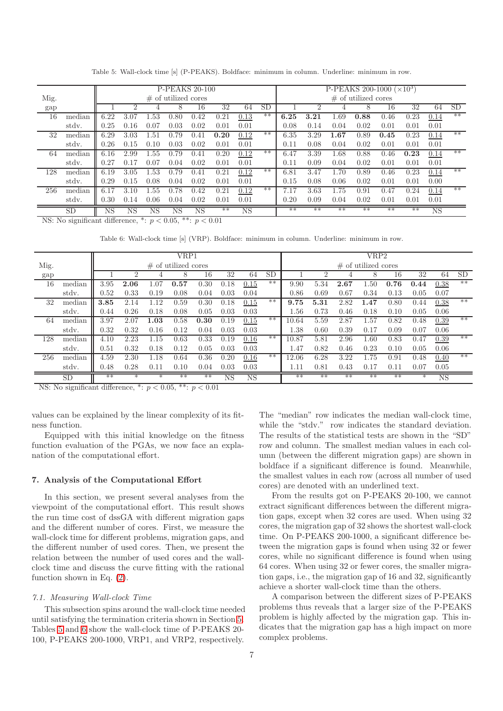<span id="page-6-1"></span>

|                           |                     |                          |                |                             |                                                 | <b>P-PEAKS 20-100</b> |                              |             |           |      |                |          |                        | P-PEAKS 200-1000 ( $\times$ 10 <sup>3</sup> ) |      |           |           |
|---------------------------|---------------------|--------------------------|----------------|-----------------------------|-------------------------------------------------|-----------------------|------------------------------|-------------|-----------|------|----------------|----------|------------------------|-----------------------------------------------|------|-----------|-----------|
| Mig.                      |                     |                          |                |                             | $\#$ of utilized cores                          |                       |                              |             |           |      |                |          | $\#$ of utilized cores |                                               |      |           |           |
| gap                       |                     |                          | $\overline{2}$ | 4                           | 8                                               | 16                    | 32                           | 64          | <b>SD</b> |      | $\overline{2}$ | 4        | 8                      | 16                                            | 32   | 64        | <b>SD</b> |
| 16                        | median              | 6.22                     | 3.07           | .53                         | 0.80                                            | 0.42                  | 0.21                         | 0.13        | $***$     | 6.25 | 3.21           | $1.69\,$ | 0.88                   | 0.46                                          | 0.23 | 0.14      | $**$      |
|                           | stdy.               | 0.25                     | 0.16           | 0.07                        | 0.03                                            | 0.02                  | 0.01                         | 0.01        |           | 0.08 | 0.14           | 0.04     | 0.02                   | 0.01                                          | 0.01 | 0.01      |           |
| 32                        | median              | 6.29                     | 3.03           | $1.51\,$                    | 0.79                                            | 0.41                  | 0.20                         | 0.12        | $**$      | 6.35 | 3.29           | 1.67     | 0.89                   | 0.45                                          | 0.23 | 0.14      | $**$      |
|                           | stdy.               | 0.26                     | 0.15           | 0.10                        | 0.03                                            | 0.02                  | 0.01                         | 0.01        |           | 0.11 | 0.08           | 0.04     | 0.02                   | 0.01                                          | 0.01 | 0.01      |           |
| 64                        | median              | 6.16                     | 2.99           | 1.55                        | 0.79                                            | 0.41                  | 0.20                         | 0.12        | $**$      | 6.47 | 3.39           | 1.68     | 0.88                   | 0.46                                          | 0.23 | 0.14      | $**$      |
|                           | stdy.               | 0.27                     | 0.17           | 0.07                        | 0.04                                            | 0.02                  | 0.01                         | 0.01        |           | 0.11 | 0.09           | 0.04     | 0.02                   | 0.01                                          | 0.01 | 0.01      |           |
| 128                       | median              | 6.19                     | 3.05           | $1.53\,$                    | 0.79                                            | 0.41                  | 0.21                         | 0.12        | $**$      | 6.81 | 3.47           | 1.70     | 0.89                   | 0.46                                          | 0.23 | 0.14      | $**$      |
|                           | stdy.               | 0.29                     | 0.15           | 0.08                        | 0.04                                            | 0.02                  | 0.01                         | 0.01        |           | 0.15 | 0.08           | 0.06     | 0.02                   | 0.01                                          | 0.01 | 0.00      |           |
| 256                       | median              | 6.17                     | 3.10           | 55                          | .78<br>U.                                       | 0.42                  | 0.21                         | 0.12        | $***$     | 7.17 | 3.63           | $1.75\,$ | 0.91                   | 0.47                                          | 0.24 | 0.14      | $**$      |
|                           | stdy.               | 0.30                     | 0.14           | 0.06                        | 0.04                                            | 0.02                  | 0.01                         | 0.01        |           | 0.20 | 0.09           | 0.04     | 0.02                   | 0.01                                          | 0.01 | 0.01      |           |
| $\mathbf{R} + \mathbf{R}$ | <b>SD</b><br>$\sim$ | <b>NS</b><br>$\sim$ 3.00 | <b>NS</b>      | <b>NS</b><br>$\overline{a}$ | NS<br>$\sim$ $\sim$ $\sim$ $\sim$ $\sim$ $\sim$ | $_{\rm NS}$           | $**$<br>$\sim$ $\sim$ $\sim$ | $_{\rm NS}$ |           | $**$ | $**$           | $**$     | $**$                   | $**$                                          | $**$ | <b>NS</b> |           |

Table 5: Wall-clock time [s] (P-PEAKS). Boldface: minimum in column. Underline: minimum in row.

<span id="page-6-2"></span>NS: No significant difference,  $\overline{\ }$ :  $p < 0.05$ ,  $\overline{\ }$ :  $p < 0.01$ 

Table 6: Wall-clock time [s] (VRP). Boldface: minimum in column. Underline: minimum in row.

|      |           |            |          |      | VRP1                   |      |             |           |       |          |      |      | VRP2                   |      |        |             |           |
|------|-----------|------------|----------|------|------------------------|------|-------------|-----------|-------|----------|------|------|------------------------|------|--------|-------------|-----------|
| Mig. |           |            |          |      | $\#$ of utilized cores |      |             |           |       |          |      |      | $\#$ of utilized cores |      |        |             |           |
| gap  |           |            | ົ        |      |                        | 16   | 32          | 64        | SL    |          |      |      | 8                      | 16   | 32     | 64          | <b>SD</b> |
| 16   | median    | 3.95       | 2.06     | 0.07 | 0.57                   | 0.30 | 0.18        | 0.15      | $**$  | 9.90     | 5.34 | 2.67 | .50                    | 0.76 | 0.44   | 0.38        | $**$      |
|      | stdy.     | $0.52\,$   | 0.33     | 0.19 | 0.08                   | 0.04 | 0.03        | 0.04      |       | 0.86     | 0.69 | 0.67 | 0.34                   | 0.13 | 0.05   | 0.07        |           |
| 32   | median    | 3.85       | 2.14     | l.12 | 0.59                   | 0.30 | 0.18        | 0.15      | $***$ | 9.75     | 5.31 | 2.82 | $1.47\,$               | 0.80 | 0.44   | 0.38        | $**$      |
|      | stdy.     | 0.44       | 0.26     | 0.18 | 0.08                   | 0.05 | 0.03        | 0.03      |       | 1.56     | 0.73 | 0.46 | 0.18                   | 0.10 | 0.05   | 0.06        |           |
| 64   | median    | 3.97       | $2.07\,$ | 1.03 | 0.58                   | 0.30 | 0.19        | 0.15      | $***$ | 10.64    | 5.59 | 2.87 | .57                    | 0.82 | 0.48   | 0.39        | $**$      |
|      | stdy.     | 0.32       | 0.32     | 0.16 | 0.12                   | 0.04 | 0.03        | 0.03      |       | $1.38\,$ | 0.60 | 0.39 | 0.17                   | 0.09 | 0.07   | 0.06        |           |
| 128  | median    | 4.10       | 2.23     | 1.15 | 0.63                   | 0.33 | 0.19        | 0.16      | $***$ | 10.87    | 5.81 | 2.96 | .60                    | 0.83 | 0.47   | 0.39        | $**$      |
|      | stdy.     | $\rm 0.51$ | 0.32     | 0.18 | 0.12                   | 0.05 | 0.03        | 0.03      |       | 1.47     | 0.82 | 0.46 | 0.23                   | 0.10 | 0.05   | 0.06        |           |
| 256  | median    | 4.59       | 2.30     | l.18 | 0.64                   | 0.36 | 0.20        | 0.16      | $***$ | 12.06    | 6.28 | 3.22 | .75                    | 0.91 | 0.48   | 0.40        | $**$      |
|      | stdy.     | 0.48       | 0.28     | 0.11 | 0.10                   | 0.04 | 0.03        | 0.03      |       | 1.11     | 0.81 | 0.43 | 0.17                   | 0.11 | 0.07   | 0.05        |           |
|      | <b>SD</b> | $**$       | $^\ast$  | ∗    | $**$                   | $**$ | $_{\rm NS}$ | <b>NS</b> |       | $***$    | $**$ | $**$ | $**$                   | $**$ | $\ast$ | $_{\rm NS}$ |           |

NS: No significant difference,  $\overline{\cdot}$ :  $p < 0.05$ ,  $\overline{\cdot}$ :  $p < 0.01$ 

values can be explained by the linear complexity of its fitness function.

Equipped with this initial knowledge on the fitness function evaluation of the PGAs, we now face an explanation of the computational effort.

#### <span id="page-6-0"></span>7. Analysis of the Computational Effort

In this section, we present several analyses from the viewpoint of the computational effort. This result shows the run time cost of dssGA with different migration gaps and the different number of cores. First, we measure the wall-clock time for different problems, migration gaps, and the different number of used cores. Then, we present the relation between the number of used cores and the wallclock time and discuss the curve fitting with the rational function shown in Eq. [\(2\)](#page-3-2).

## *7.1. Measuring Wall-clock Time*

This subsection spins around the wall-clock time needed until satisfying the termination criteria shown in Section [5.](#page-3-0) Tables [5](#page-6-1) and [6](#page-6-2) show the wall-clock time of P-PEAKS 20- 100, P-PEAKS 200-1000, VRP1, and VRP2, respectively.

The "median" row indicates the median wall-clock time, while the "stdv." row indicates the standard deviation. The results of the statistical tests are shown in the "SD" row and column. The smallest median values in each column (between the different migration gaps) are shown in boldface if a significant difference is found. Meanwhile, the smallest values in each row (across all number of used cores) are denoted with an underlined text.

From the results got on P-PEAKS 20-100, we cannot extract significant differences between the different migration gaps, except when 32 cores are used. When using 32 cores, the migration gap of 32 shows the shortest wall-clock time. On P-PEAKS 200-1000, a significant difference between the migration gaps is found when using 32 or fewer cores, while no significant difference is found when using 64 cores. When using 32 or fewer cores, the smaller migration gaps, i.e., the migration gap of 16 and 32, significantly achieve a shorter wall-clock time than the others.

A comparison between the different sizes of P-PEAKS problems thus reveals that a larger size of the P-PEAKS problem is highly affected by the migration gap. This indicates that the migration gap has a high impact on more complex problems.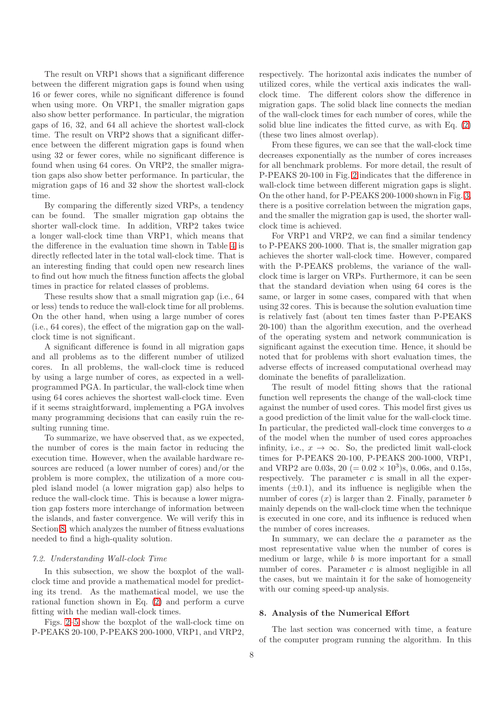The result on VRP1 shows that a significant difference between the different migration gaps is found when using 16 or fewer cores, while no significant difference is found when using more. On VRP1, the smaller migration gaps also show better performance. In particular, the migration gaps of 16, 32, and 64 all achieve the shortest wall-clock time. The result on VRP2 shows that a significant difference between the different migration gaps is found when using 32 or fewer cores, while no significant difference is found when using 64 cores. On VRP2, the smaller migration gaps also show better performance. In particular, the migration gaps of 16 and 32 show the shortest wall-clock time.

By comparing the differently sized VRPs, a tendency can be found. The smaller migration gap obtains the shorter wall-clock time. In addition, VRP2 takes twice a longer wall-clock time than VRP1, which means that the difference in the evaluation time shown in Table [4](#page-5-2) is directly reflected later in the total wall-clock time. That is an interesting finding that could open new research lines to find out how much the fitness function affects the global times in practice for related classes of problems.

These results show that a small migration gap (i.e., 64 or less) tends to reduce the wall-clock time for all problems. On the other hand, when using a large number of cores (i.e., 64 cores), the effect of the migration gap on the wallclock time is not significant.

A significant difference is found in all migration gaps and all problems as to the different number of utilized cores. In all problems, the wall-clock time is reduced by using a large number of cores, as expected in a wellprogrammed PGA. In particular, the wall-clock time when using 64 cores achieves the shortest wall-clock time. Even if it seems straightforward, implementing a PGA involves many programming decisions that can easily ruin the resulting running time.

To summarize, we have observed that, as we expected, the number of cores is the main factor in reducing the execution time. However, when the available hardware resources are reduced (a lower number of cores) and/or the problem is more complex, the utilization of a more coupled island model (a lower migration gap) also helps to reduce the wall-clock time. This is because a lower migration gap fosters more interchange of information between the islands, and faster convergence. We will verify this in Section [8,](#page-7-0) which analyzes the number of fitness evaluations needed to find a high-quality solution.

#### <span id="page-7-1"></span>*7.2. Understanding Wall-clock Time*

In this subsection, we show the boxplot of the wallclock time and provide a mathematical model for predicting its trend. As the mathematical model, we use the rational function shown in Eq. [\(2\)](#page-3-2) and perform a curve fitting with the median wall-clock times.

Figs. [2–5](#page-8-0) show the boxplot of the wall-clock time on P-PEAKS 20-100, P-PEAKS 200-1000, VRP1, and VRP2,

respectively. The horizontal axis indicates the number of utilized cores, while the vertical axis indicates the wallclock time. The different colors show the difference in migration gaps. The solid black line connects the median of the wall-clock times for each number of cores, while the solid blue line indicates the fitted curve, as with Eq. [\(2\)](#page-3-2) (these two lines almost overlap).

From these figures, we can see that the wall-clock time decreases exponentially as the number of cores increases for all benchmark problems. For more detail, the result of P-PEAKS 20-100 in Fig. [2](#page-8-0) indicates that the difference in wall-clock time between different migration gaps is slight. On the other hand, for P-PEAKS 200-1000 shown in Fig. [3,](#page-8-0) there is a positive correlation between the migration gaps, and the smaller the migration gap is used, the shorter wallclock time is achieved.

For VRP1 and VRP2, we can find a similar tendency to P-PEAKS 200-1000. That is, the smaller migration gap achieves the shorter wall-clock time. However, compared with the P-PEAKS problems, the variance of the wallclock time is larger on VRPs. Furthermore, it can be seen that the standard deviation when using 64 cores is the same, or larger in some cases, compared with that when using 32 cores. This is because the solution evaluation time is relatively fast (about ten times faster than P-PEAKS 20-100) than the algorithm execution, and the overhead of the operating system and network communication is significant against the execution time. Hence, it should be noted that for problems with short evaluation times, the adverse effects of increased computational overhead may dominate the benefits of parallelization.

The result of model fitting shows that the rational function well represents the change of the wall-clock time against the number of used cores. This model first gives us a good prediction of the limit value for the wall-clock time. In particular, the predicted wall-clock time converges to a of the model when the number of used cores approaches infinity, i.e.,  $x \to \infty$ . So, the predicted limit wall-clock times for P-PEAKS 20-100, P-PEAKS 200-1000, VRP1, and VRP2 are 0.03s,  $20 (= 0.02 \times 10^3)$ s, 0.06s, and 0.15s, respectively. The parameter  $c$  is small in all the experiments  $(\pm 0.1)$ , and its influence is negligible when the number of cores  $(x)$  is larger than 2. Finally, parameter b mainly depends on the wall-clock time when the technique is executed in one core, and its influence is reduced when the number of cores increases.

In summary, we can declare the a parameter as the most representative value when the number of cores is medium or large, while  $b$  is more important for a small number of cores. Parameter  $c$  is almost negligible in all the cases, but we maintain it for the sake of homogeneity with our coming speed-up analysis.

#### <span id="page-7-0"></span>8. Analysis of the Numerical Effort

The last section was concerned with time, a feature of the computer program running the algorithm. In this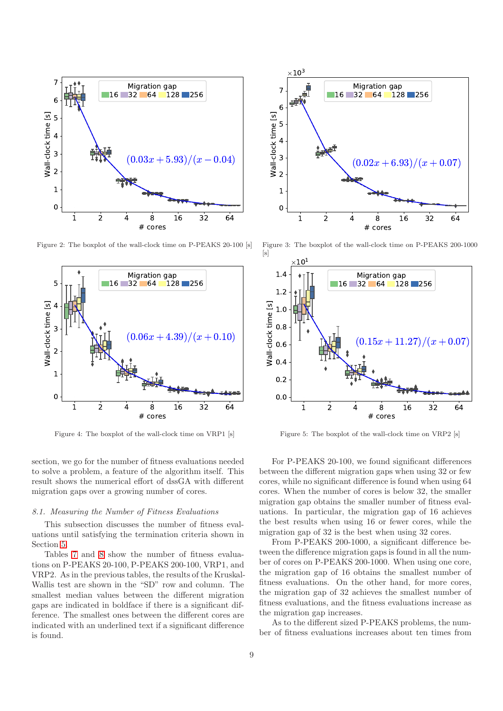<span id="page-8-0"></span>

Figure 2: The boxplot of the wall-clock time on P-PEAKS 20-100 [s]



Figure 4: The boxplot of the wall-clock time on VRP1 [s]

section, we go for the number of fitness evaluations needed to solve a problem, a feature of the algorithm itself. This result shows the numerical effort of dssGA with different migration gaps over a growing number of cores.

## *8.1. Measuring the Number of Fitness Evaluations*

This subsection discusses the number of fitness evaluations until satisfying the termination criteria shown in Section [5.](#page-3-0)

Tables [7](#page-9-0) and [8](#page-9-1) show the number of fitness evaluations on P-PEAKS 20-100, P-PEAKS 200-100, VRP1, and VRP2. As in the previous tables, the results of the Kruskal-Wallis test are shown in the "SD" row and column. The smallest median values between the different migration gaps are indicated in boldface if there is a significant difference. The smallest ones between the different cores are indicated with an underlined text if a significant difference is found.



Figure 3: The boxplot of the wall-clock time on P-PEAKS 200-1000  $[s]$ 



Figure 5: The boxplot of the wall-clock time on VRP2 [s]

For P-PEAKS 20-100, we found significant differences between the different migration gaps when using 32 or few cores, while no significant difference is found when using 64 cores. When the number of cores is below 32, the smaller migration gap obtains the smaller number of fitness evaluations. In particular, the migration gap of 16 achieves the best results when using 16 or fewer cores, while the migration gap of 32 is the best when using 32 cores.

From P-PEAKS 200-1000, a significant difference between the difference migration gaps is found in all the number of cores on P-PEAKS 200-1000. When using one core, the migration gap of 16 obtains the smallest number of fitness evaluations. On the other hand, for more cores, the migration gap of 32 achieves the smallest number of fitness evaluations, and the fitness evaluations increase as the migration gap increases.

As to the different sized P-PEAKS problems, the number of fitness evaluations increases about ten times from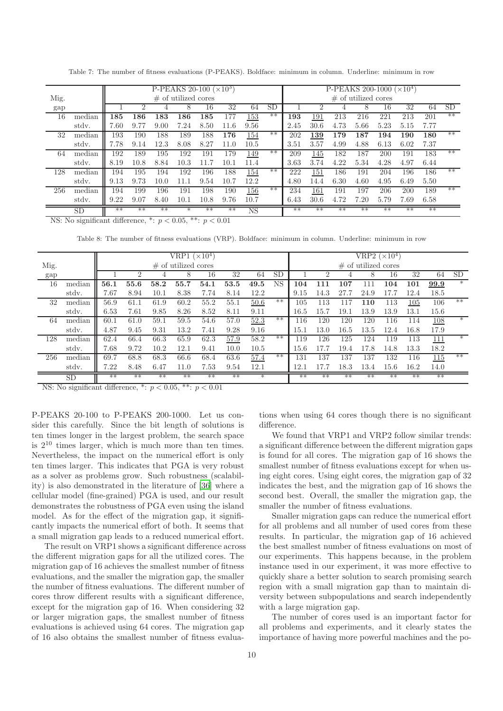<span id="page-9-0"></span>

|      |        |      |      |      | P-PEAKS 20-100 ( $\times 10^3$ ) |         |      |      |           |      |      |      | P-PEAKS 200-1000 ( $\times 10^4$ ) |            |      |      |           |
|------|--------|------|------|------|----------------------------------|---------|------|------|-----------|------|------|------|------------------------------------|------------|------|------|-----------|
| Mig. |        |      |      |      | $\#$ of utilized cores           |         |      |      |           |      |      |      | $\#$ of utilized cores             |            |      |      |           |
| gap  |        |      |      |      | 8                                | 16      | 32   | 64   | <b>SD</b> |      |      |      | 8                                  | 16         | 32   | 64   | <b>SD</b> |
| 16   | median | 185  | 186  | 183  | 186                              | $185\,$ | 177  | 153  | $**$      | 193  | 191  | 213  | 216                                | 221        | 213  | 201  | $***$     |
|      | stdy.  | 7.60 | 9.77 | 9.00 | 7.24                             | 8.50    | 11.6 | 9.56 |           | 2.45 | 30.6 | 4.73 | 5.66                               | 5.23       | 5.15 | 7.77 |           |
| 32   | median | 193  | 190  | 188  | 189                              | 188     | 176  | 154  | $***$     | 202  | 139  | 179  | 187                                | 194        | 190  | 180  | $**$      |
|      | stdy.  | 7.78 | 9.14 | 12.3 | 8.08                             | 8.27    | 11.0 | 10.5 |           | 3.51 | 3.57 | 4.99 | 4.88                               | 6.13       | 6.02 | 7.37 |           |
| 64   | median | 192  | 189  | 195  | 192                              | 191     | 179  | 149  | $**$      | 209  | 145  | 182  | 187                                | <b>200</b> | 191  | 183  | $***$     |
|      | stdy.  | 8.19 | 10.8 | 8.84 | 10.3                             |         | 10.  | 11.4 |           | 3.63 | 3.74 | 4.22 | 5.34                               | 4.28       | 4.97 | 6.44 |           |
| 128  | median | 194  | 195  | 194  | 192                              | 196     | 188  | 154  | $**$      | 222  | 151  | 186  | 191                                | 204        | 196  | 186  | $***$     |
|      | stdy.  | 9.13 | 9.73 | 10.0 | 11 1                             | 9.54    | 10.  | 12.2 |           | 4.80 | 14.4 | 6.30 | 4.60                               | 4.95       | 6.49 | 5.50 |           |
| 256  | median | 194  | 199  | 196  | 191                              | 198     | 190  | 156  | $***$     | 234  | 161  | 191  | 197                                | 206        | 200  | 189  | $**$      |
|      | stdy.  | 9.22 | 9.07 | 8.40 | 10.1                             | 10.8    | 9.76 | 10.7 |           | 6.43 | 30.6 | 4.72 | 7.20                               | 5.79       | 7.69 | 6.58 |           |
|      | SD     | $**$ | $**$ | $**$ | $^\ast$                          | $**$    | $**$ | NS   |           | $**$ | $**$ | $**$ | $**$                               | $**$       | $**$ | $**$ |           |

Table 7: The number of fitness evaluations (P-PEAKS). Boldface: minimum in column. Underline: minimum in row

<span id="page-9-1"></span>NS: No significant difference,  $\overline{\ }$ :  $p < 0.05$ ,  $\overline{\ }$ :  $p < 0.01$ 

Table 8: The number of fitness evaluations (VRP). Boldface: minimum in column. Underline: minimum in row

|      |        |      |      |      | VRP1 $(\times 10^4)$   |      |      |        |           |          |                |          | VRP2 ( $\times 10^4$ ) |      |      |       |           |
|------|--------|------|------|------|------------------------|------|------|--------|-----------|----------|----------------|----------|------------------------|------|------|-------|-----------|
| Mig. |        |      |      |      | $\#$ of utilized cores |      |      |        |           |          |                |          | $\#$ of utilized cores |      |      |       |           |
| gap  |        |      | റ    | 4    | 8                      | 16   | 32   | 64     | <b>SD</b> |          | $\overline{2}$ | 4        | 8                      | 16   | 32   | 64    | <b>SD</b> |
| 16   | median | 56.1 | 55.6 | 58.2 | 55.7                   | 54.1 | 53.5 | 49.5   | NS        | 104      | 111            | $107\,$  | 111                    | 104  | 101  | 99.9  | $\ast$    |
|      | stdy.  | 7.67 | 8.94 | 10.1 | 8.38                   | 7.74 | 8.14 | 12.2   |           | 9.15     | 14.3           | 27.7     | 24.9                   | 17.7 | 12.4 | 18.5  |           |
| 32   | median | 56.9 | 61.1 | 61.9 | 60.2                   | 55.2 | 55.1 | 50.6   | $**$      | 105      | 113            | 117      | 110                    | 113  | 105  | 106   | $**$      |
|      | stdy.  | 6.53 | 7.61 | 9.85 | 8.26                   | 8.52 | 8.11 | 9.11   |           | $16.5\,$ | 15.7           | 19.1     | 13.9                   | 13.9 | 13.1 | 15.6  |           |
| 64   | median | 60.1 | 61.0 | 59.1 | 59.5                   | 54.6 | 57.0 | 52.3   | $**$      | 116      | 120            | 120      | 120                    | 116  | 114  | 108   | $\ast$    |
|      | stdy.  | 4.87 | 9.45 | 9.31 | 13.2                   | 7.41 | 9.28 | 9.16   |           | 15.1     | 13.0           | $16.5\,$ | 13.5                   | 12.4 | 16.8 | 17.9  |           |
| 128  | median | 62.4 | 66.4 | 66.3 | 65.9                   | 62.3 | 57.9 | 58.2   | $***$     | 119      | 126            | 125      | 124                    | 119  | 113  | 111   | $*$       |
|      | stdy.  | 7.68 | 9.72 | 10.2 | 12.1                   | 9.41 | 10.0 | 10.5   |           | 15.6     | 17.7           | 19.4     | 17.8                   | 14.8 | 13.3 | 18.2  |           |
| 256  | median | 69.7 | 68.8 | 68.3 | 66.6                   | 68.4 | 63.6 | 57.4   | $***$     | 131      | 137            | 137      | 137                    | 132  | 116  | 115   | $**$      |
|      | stdy.  | 7.22 | 8.48 | 6.47 | 11.0                   | 7.53 | 9.54 | 12.1   |           | 12.1     | 17.7           | 18.3     | 13.4                   | 15.6 | 16.2 | 14.0  |           |
|      | SD     | $**$ | $**$ | $**$ | $**$                   | $**$ | $**$ | $\ast$ |           | $**$     | $**$           | $**$     | $**$                   | $**$ | $**$ | $***$ |           |

NS: No significant difference,  $\overline{\ }$ :  $p < 0.05$ ,  $\overline{\ }$ :  $p < 0.01$ 

P-PEAKS 20-100 to P-PEAKS 200-1000. Let us consider this carefully. Since the bit length of solutions is ten times longer in the largest problem, the search space is  $2^{10}$  times larger, which is much more than ten times. Nevertheless, the impact on the numerical effort is only ten times larger. This indicates that PGA is very robust as a solver as problems grow. Such robustness (scalability) is also demonstrated in the literature of [\[36](#page-21-2)] where a cellular model (fine-grained) PGA is used, and our result demonstrates the robustness of PGA even using the island model. As for the effect of the migration gap, it significantly impacts the numerical effort of both. It seems that a small migration gap leads to a reduced numerical effort.

The result on VRP1 shows a significant difference across the different migration gaps for all the utilized cores. The migration gap of 16 achieves the smallest number of fitness evaluations, and the smaller the migration gap, the smaller the number of fitness evaluations. The different number of cores throw different results with a significant difference, except for the migration gap of 16. When considering 32 or larger migration gaps, the smallest number of fitness evaluations is achieved using 64 cores. The migration gap of 16 also obtains the smallest number of fitness evalua-

tions when using 64 cores though there is no significant difference.

We found that VRP1 and VRP2 follow similar trends: a significant difference between the different migration gaps is found for all cores. The migration gap of 16 shows the smallest number of fitness evaluations except for when using eight cores. Using eight cores, the migration gap of 32 indicates the best, and the migration gap of 16 shows the second best. Overall, the smaller the migration gap, the smaller the number of fitness evaluations.

Smaller migration gaps can reduce the numerical effort for all problems and all number of used cores from these results. In particular, the migration gap of 16 achieved the best smallest number of fitness evaluations on most of our experiments. This happens because, in the problem instance used in our experiment, it was more effective to quickly share a better solution to search promising search region with a small migration gap than to maintain diversity between subpopulations and search independently with a large migration gap.

The number of cores used is an important factor for all problems and experiments, and it clearly states the importance of having more powerful machines and the po-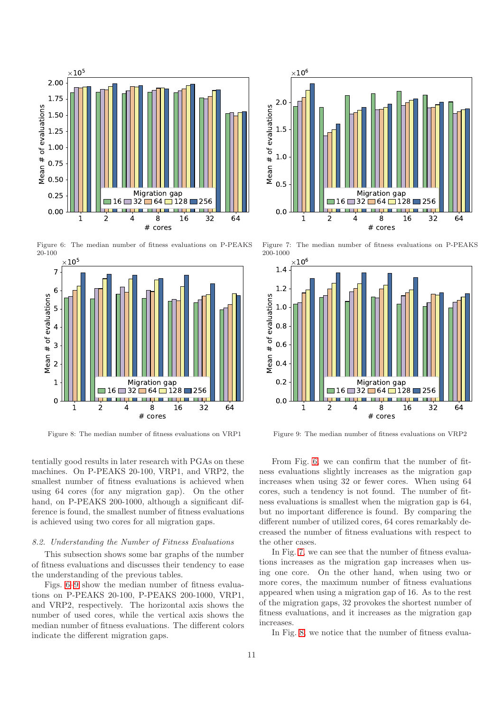<span id="page-10-0"></span>

Figure 6: The median number of fitness evaluations on P-PEAKS 20-100



Figure 8: The median number of fitness evaluations on VRP1

tentially good results in later research with PGAs on these machines. On P-PEAKS 20-100, VRP1, and VRP2, the smallest number of fitness evaluations is achieved when using 64 cores (for any migration gap). On the other hand, on P-PEAKS 200-1000, although a significant difference is found, the smallest number of fitness evaluations is achieved using two cores for all migration gaps.

## *8.2. Understanding the Number of Fitness Evaluations*

This subsection shows some bar graphs of the number of fitness evaluations and discusses their tendency to ease the understanding of the previous tables.

Figs. [6–9](#page-10-0) show the median number of fitness evaluations on P-PEAKS 20-100, P-PEAKS 200-1000, VRP1, and VRP2, respectively. The horizontal axis shows the number of used cores, while the vertical axis shows the median number of fitness evaluations. The different colors indicate the different migration gaps.



Figure 7: The median number of fitness evaluations on P-PEAKS 200-1000



Figure 9: The median number of fitness evaluations on VRP2

From Fig. [6,](#page-10-0) we can confirm that the number of fitness evaluations slightly increases as the migration gap increases when using 32 or fewer cores. When using 64 cores, such a tendency is not found. The number of fitness evaluations is smallest when the migration gap is 64, but no important difference is found. By comparing the different number of utilized cores, 64 cores remarkably decreased the number of fitness evaluations with respect to the other cases.

In Fig. [7,](#page-10-0) we can see that the number of fitness evaluations increases as the migration gap increases when using one core. On the other hand, when using two or more cores, the maximum number of fitness evaluations appeared when using a migration gap of 16. As to the rest of the migration gaps, 32 provokes the shortest number of fitness evaluations, and it increases as the migration gap increases.

In Fig. [8,](#page-10-0) we notice that the number of fitness evalua-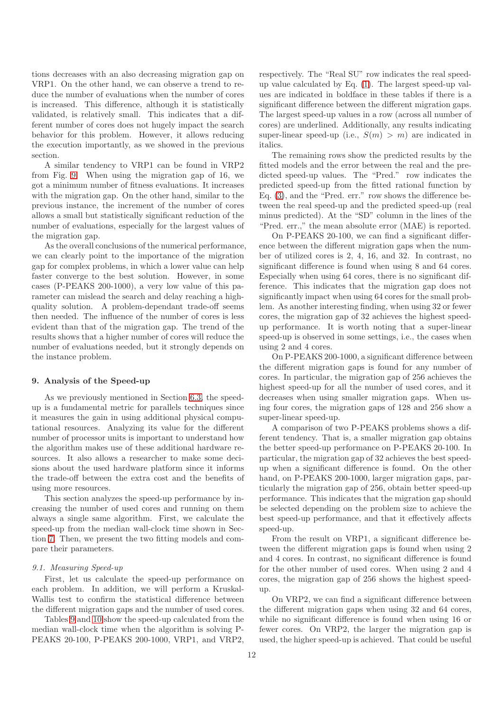tions decreases with an also decreasing migration gap on VRP1. On the other hand, we can observe a trend to reduce the number of evaluations when the number of cores is increased. This difference, although it is statistically validated, is relatively small. This indicates that a different number of cores does not hugely impact the search behavior for this problem. However, it allows reducing the execution importantly, as we showed in the previous section.

A similar tendency to VRP1 can be found in VRP2 from Fig. [9.](#page-10-0) When using the migration gap of 16, we got a minimum number of fitness evaluations. It increases with the migration gap. On the other hand, similar to the previous instance, the increment of the number of cores allows a small but statistically significant reduction of the number of evaluations, especially for the largest values of the migration gap.

As the overall conclusions of the numerical performance, we can clearly point to the importance of the migration gap for complex problems, in which a lower value can help faster converge to the best solution. However, in some cases (P-PEAKS 200-1000), a very low value of this parameter can mislead the search and delay reaching a highquality solution. A problem-dependant trade-off seems then needed. The influence of the number of cores is less evident than that of the migration gap. The trend of the results shows that a higher number of cores will reduce the number of evaluations needed, but it strongly depends on the instance problem.

#### <span id="page-11-0"></span>9. Analysis of the Speed-up

As we previously mentioned in Section [6.3,](#page-5-3) the speedup is a fundamental metric for parallels techniques since it measures the gain in using additional physical computational resources. Analyzing its value for the different number of processor units is important to understand how the algorithm makes use of these additional hardware resources. It also allows a researcher to make some decisions about the used hardware platform since it informs the trade-off between the extra cost and the benefits of using more resources.

This section analyzes the speed-up performance by increasing the number of used cores and running on them always a single same algorithm. First, we calculate the speed-up from the median wall-clock time shown in Section [7.](#page-6-0) Then, we present the two fitting models and compare their parameters.

#### *9.1. Measuring Speed-up*

First, let us calculate the speed-up performance on each problem. In addition, we will perform a Kruskal-Wallis test to confirm the statistical difference between the different migration gaps and the number of used cores.

Tables [9](#page-12-1) and [10](#page-12-2) show the speed-up calculated from the median wall-clock time when the algorithm is solving P-PEAKS 20-100, P-PEAKS 200-1000, VRP1, and VRP2,

respectively. The "Real SU" row indicates the real speedup value calculated by Eq. [\(1\)](#page-3-3). The largest speed-up values are indicated in boldface in these tables if there is a significant difference between the different migration gaps. The largest speed-up values in a row (across all number of cores) are underlined. Additionally, any results indicating super-linear speed-up (i.e.,  $S(m) > m$ ) are indicated in italics.

The remaining rows show the predicted results by the fitted models and the error between the real and the predicted speed-up values. The "Pred." row indicates the predicted speed-up from the fitted rational function by Eq. [\(3\)](#page-3-4), and the "Pred. err." row shows the difference between the real speed-up and the predicted speed-up (real minus predicted). At the "SD" column in the lines of the "Pred. err.," the mean absolute error (MAE) is reported.

On P-PEAKS 20-100, we can find a significant difference between the different migration gaps when the number of utilized cores is 2, 4, 16, and 32. In contrast, no significant difference is found when using 8 and 64 cores. Especially when using 64 cores, there is no significant difference. This indicates that the migration gap does not significantly impact when using 64 cores for the small problem. As another interesting finding, when using 32 or fewer cores, the migration gap of 32 achieves the highest speedup performance. It is worth noting that a super-linear speed-up is observed in some settings, i.e., the cases when using 2 and 4 cores.

On P-PEAKS 200-1000, a significant difference between the different migration gaps is found for any number of cores. In particular, the migration gap of 256 achieves the highest speed-up for all the number of used cores, and it decreases when using smaller migration gaps. When using four cores, the migration gaps of 128 and 256 show a super-linear speed-up.

A comparison of two P-PEAKS problems shows a different tendency. That is, a smaller migration gap obtains the better speed-up performance on P-PEAKS 20-100. In particular, the migration gap of 32 achieves the best speedup when a significant difference is found. On the other hand, on P-PEAKS 200-1000, larger migration gaps, particularly the migration gap of 256, obtain better speed-up performance. This indicates that the migration gap should be selected depending on the problem size to achieve the best speed-up performance, and that it effectively affects speed-up.

From the result on VRP1, a significant difference between the different migration gaps is found when using 2 and 4 cores. In contrast, no significant difference is found for the other number of used cores. When using 2 and 4 cores, the migration gap of 256 shows the highest speedup.

On VRP2, we can find a significant difference between the different migration gaps when using 32 and 64 cores, while no significant difference is found when using 16 or fewer cores. On VRP2, the larger the migration gap is used, the higher speed-up is achieved. That could be useful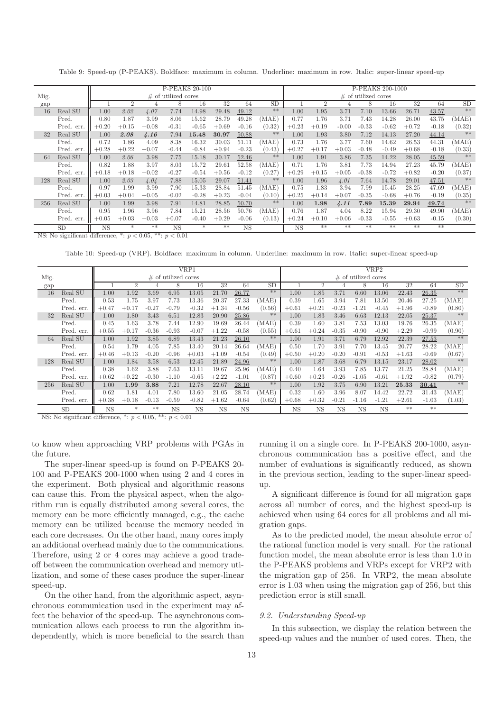<span id="page-12-1"></span>

|         |                       |                                  |                             |                   |                                  | P-PEAKS 20-100 |         |                        |        | P-PEAKS 200-1000       |                |         |                        |         |         |         |        |
|---------|-----------------------|----------------------------------|-----------------------------|-------------------|----------------------------------|----------------|---------|------------------------|--------|------------------------|----------------|---------|------------------------|---------|---------|---------|--------|
| Mig.    |                       |                                  |                             |                   | $\#$ of utilized cores           |                |         |                        |        |                        |                |         | $\#$ of utilized cores |         |         |         |        |
| gap     |                       |                                  | $\overline{2}$              |                   | 8                                | 16             | 32      | 64                     | SD     |                        | $\overline{2}$ |         |                        | 16      | 32      | 64      | SD     |
| 16      | Real SU               | 1.00                             | 2.02                        | 4.07              | 7.74                             | 14.98          | 29.48   | 49.12                  | $**$   | 1.00                   | 1.95           | 3.71    | 7.10                   | 13.66   | 26.71   | 43.57   | $**$   |
|         | Pred.                 | 0.80                             | 1.87                        | 3.99              | 8.06                             | 15.62          | 28.79   | 49.28                  | (MAE)  | 0.77                   | 1.76           | 3.71    | 7.43                   | 14.28   | 26.00   | 43.75   | (MAE)  |
|         | Pred. err.            | $+0.20$                          | $+0.15$                     | $+0.08$           | $-0.31$                          | $-0.65$        | $+0.69$ | $-0.16$                | (0.32) | $+0.23$                | $+0.19$        | $-0.00$ | $-0.33$                | $-0.62$ | $+0.72$ | $-0.18$ | (0.32) |
| 32      | Real SU               | 1.00                             | 2.08                        | 4.16              | 7.94                             | 15.48          | 30.97   | 50.88                  | $**$   | 1.00                   | 1.93           | 3.80    | 7.12                   | 14.13   | 27.20   | 44.14   | $**$   |
|         | Pred.                 | 0.72                             | 1.86                        | 4.09              | 8.38                             | 16.32          | 30.03   | 51.11                  | (MAE)  | 0.73                   | 1.76           | 3.77    | 7.60                   | 14.62   | 26.53   | 44.31   | (MAE)  |
|         | Pred. err.            | $+0.28$                          | $+0.22$                     | $+0.07$           | $-0.44$                          | $-0.84$        | $+0.94$ | $-0.23$                | (0.43) | $+0.27$                | $+0.17$        | $+0.03$ | $-0.48$                | $-0.49$ | $+0.68$ | $-0.18$ | (0.33) |
| 64      | Real SU               | 1.00                             | 2.06                        | 3.98              | 7.75                             | 15.18          | 30.17   | 52.46                  | $**$   | 1.00                   | 1.91           | 3.86    | 7.35                   | 14.22   | 28.05   | 45.59   | $**$   |
|         | Pred.                 | 0.82                             | 1.88                        | 3.97              | 8.03                             | 15.72          | 29.61   | 52.58                  | (MAE)  | 0.71                   | 1.76           | 3.81    | 7.73                   | 14.94   | 27.23   | 45.79   | (MAE)  |
|         | Pred. err.            | $+0.18$                          | $+0.18$                     | $+0.02$           | $-0.27$                          | $-0.54$        | $+0.56$ | $-0.12$                | (0.27) | $+0.29$                | $+0.15$        | $+0.05$ | $-0.38$                | $-0.72$ | $+0.82$ | $-0.20$ | (0.37) |
| 128     | Real SU               | 1.00                             | 2.03                        | 4.04              | 7.88                             | 15.05          | 29.07   | 51.41                  | **     | 1.00                   | 1.96           | 4.01    | 7.64                   | 14.78   | 29.01   | 47.51   | $**$   |
|         | Pred.                 | 0.97                             | 1.99                        | 3.99              | 7.90                             | 15.33          | 28.84   | 51.45                  | (MAE)  | 0.75                   | 1.83           | 3.94    | 7.99                   | 15.45   | 28.25   | 47.69   | (MAE)  |
|         | Pred. err.            | $+0.03$                          | $+0.04$                     | $+0.05$           | $-0.02$                          | $-0.28$        | $+0.23$ | $-0.04$                | (0.10) | $+0.25$                | $+0.14$        | $+0.07$ | $-0.35$                | $-0.68$ | $+0.76$ | $-0.19$ | (0.35) |
| 256     | Real SU               | 1.00                             | 1.99                        | 3.98              | 7.91                             | 14.81          | 28.85   | 50.70                  | $**$   | 1.00                   | 1.98           | 4.11    | 7.89                   | 15.39   | 29.94   | 49.74   | $**$   |
|         | Pred.                 | 0.95                             | 1.96                        | 3.96              | 7.84                             | 15.21          | 28.56   | 50.76                  | (MAE)  | 0.76                   | 1.87           | 4.04    | 8.22                   | 15.94   | 29.30   | 49.90   | (MAE)  |
|         | Pred. err.            | $+0.05$                          | $+0.03$                     | $+0.03$           | $+0.07$                          | $-0.40$        | $+0.29$ | $-0.06$                | (0.13) | $+0.24$                | $+0.10$        | $+0.06$ | $-0.33$                | $-0.55$ | $+0.63$ | $-0.15$ | (0.30) |
| 3TCL 3T | SD<br>$\cdot$ $\circ$ | <b>NS</b><br>$\cdot$ 1. $\sigma$ | $*$<br>$\ddot{\phantom{1}}$ | **<br>$0.05 - 11$ | $\overline{\mathrm{NS}}$<br>0.04 | $\ast$         | **      | $\overline{\text{NS}}$ |        | $\overline{\text{NS}}$ | $**$           | $**$    | **                     | $**$    | **      | **      |        |

Table 9: Speed-up (P-PEAKS). Boldface: maximum in column. Underline: maximum in row. Italic: super-linear speed-up

<span id="page-12-2"></span>NS: No significant difference,  $*: p < 0.05, **: p < 0.01$ 

Table 10: Speed-up (VRP). Boldface: maximum in column. Underline: maximum in row. Italic: super-linear speed-up

|      |            |           |                |         |                        | VRP1      |             |           |        | VRP2        |                |             |                        |           |         |         |        |
|------|------------|-----------|----------------|---------|------------------------|-----------|-------------|-----------|--------|-------------|----------------|-------------|------------------------|-----------|---------|---------|--------|
| Mig. |            |           |                |         | $\#$ of utilized cores |           |             |           |        |             |                |             | $\#$ of utilized cores |           |         |         |        |
| gap  |            |           | $\overline{2}$ |         | 8                      | 16        | 32          | 64        | SD     |             | $\overline{2}$ |             | 8                      | 16        | 32      | 64      | SD     |
| 16   | Real SU    | 1.00      | 1.92           | 3.69    | 6.95                   | 13.05     | 21.70       | 26.77     | $**$   | 1.00        | 1.85           | 3.71        | 6.60                   | 13.06     | 22.43   | 26.35   | $**$   |
|      | Pred.      | 0.53      | 1.75           | 3.97    | 7.73                   | 13.36     | 20.37       | 27.33     | (MAE)  | 0.39        | 1.65           | 3.94        | 7.81                   | 13.50     | 20.46   | 27.25   | (MAE)  |
|      | Pred. err. | $+0.47$   | $+0.17$        | $-0.27$ | $-0.79$                | $-0.32$   | $+1.34$     | $-0.56$   | (0.56) | $+0.61$     | $+0.21$        | $-0.23$     | $-1.21$                | $-0.45$   | $+1.96$ | $-0.89$ | (0.80) |
| 32   | Real SU    | 1.00      | 1.80           | 3.43    | 6.51                   | 12.83     | 20.90       | 25.86     | $**$   | 1.00        | 1.83           | 3.46        | 6.63                   | 12.13     | 22.05   | 25.37   | $**$   |
|      | Pred.      | 0.45      | 1.63           | 3.78    | 7.44                   | 12.90     | 19.69       | 26.44     | (MAE)  | 0.39        | 1.60           | 3.81        | 7.53                   | 13.03     | 19.76   | 26.35   | (MAE)  |
|      | Pred. err. | $+0.55$   | $+0.17$        | $-0.36$ | $-0.93$                | $-0.07$   | $+1.22$     | $-0.58$   | (0.55) | $+0.61$     | $+0.24$        | $-0.35$     | $-0.90$                | $-0.90$   | $+2.29$ | $-0.99$ | (0.90) |
| 64   | Real SU    | 1.00      | 1.92           | 3.85    | 6.89                   | 13.43     | 21.23       | 26.10     | $**$   | 1.00        | 1.91           | 3.71        | 6.79                   | 12.92     | 22.39   | 27.53   | $**$   |
|      | Pred.      | 0.54      | 1.79           | 4.05    | 7.85                   | 13.40     | 20.14       | 26.64     | (MAE)  | 0.50        | 1.70           | 3.91        | 7.70                   | 13.45     | 20.77   | 28.22   | (MAE)  |
|      | Pred. err. | $+0.46$   | $+0.13$        | $-0.20$ | $-0.96$                | $+0.03$   | $+1.09$     | $-0.54$   | (0.49) | $+0.50$     | $+0.20$        | $-0.20$     | $-0.91$                | $-0.53$   | $+1.63$ | $-0.69$ | (0.67) |
| 128  | Real SU    | 1.00      | 1.84           | 3.58    | 6.53                   | 12.45     | 21.89       | 24.96     | $**$   | 1.00        | 1.87           | 3.68        | 6.79                   | 13.15     | 23.17   | 28.02   | $**$   |
|      | Pred.      | 0.38      | 1.62           | 3.88    | 7.63                   | 13.11     | 19.67       | 25.96     | (MAE)  | 0.40        | 1.64           | 3.93        | 7.85                   | 13.77     | 21.25   | 28.84   | (MAE)  |
|      | Pred. err. | $+0.62$   | $+0.22$        | $-0.30$ | $-1.10$                | $-0.65$   | $+2.22$     | $-1.01$   | (0.87) | $+0.60$     | $+0.23$        | $-0.26$     | $-1.05$                | $-0.61$   | $+1.92$ | $-0.82$ | (0.79) |
| 256  | Real SU    | 1.00      | 1.99           | 3.88    | 7.21                   | 12.78     | 22.67       | 28.10     | $**$   | 1.00        | 1.92           | 3.75        | 6.90                   | 13.21     | 25.33   | 30.41   | $**$   |
|      | Pred.      | 0.62      | 1.81           | 4.01    | 7.80                   | 13.60     | 21.05       | 28.74     | (MAE)  | 0.32        | 1.60           | 3.96        | 8.07                   | 14.42     | 22.72   | 31.43   | (MAE)  |
|      | Pred. err. | $+0.38$   | $+0.18$        | $-0.13$ | $-0.59$                | $-0.82$   | $+1.62$     | $-0.64$   | (0.62) | $+0.68$     | $+0.32$        | $-0.21$     | $-1.16$                | $-1.21$   | $+2.61$ | $-1.03$ | (1.03) |
|      | <b>SD</b>  | <b>NS</b> | $*$            | $**$    | <b>NS</b>              | <b>NS</b> | $_{\rm NS}$ | <b>NS</b> |        | $_{\rm NS}$ | <b>NS</b>      | $_{\rm NS}$ | <b>NS</b>              | <b>NS</b> | $**$    | $**$    |        |

NS: No significant difference,  $\overline{\ast}$ :  $p < 0.05$ ,  $\overline{\ast}$ :  $p < 0.01$ 

to know when approaching VRP problems with PGAs in the future.

The super-linear speed-up is found on P-PEAKS 20- 100 and P-PEAKS 200-1000 when using 2 and 4 cores in the experiment. Both physical and algorithmic reasons can cause this. From the physical aspect, when the algorithm run is equally distributed among several cores, the memory can be more efficiently managed, e.g., the cache memory can be utilized because the memory needed in each core decreases. On the other hand, many cores imply an additional overhead mainly due to the communications. Therefore, using 2 or 4 cores may achieve a good tradeoff between the communication overhead and memory utilization, and some of these cases produce the super-linear speed-up.

On the other hand, from the algorithmic aspect, asynchronous communication used in the experiment may affect the behavior of the speed-up. The asynchronous communication allows each process to run the algorithm independently, which is more beneficial to the search than running it on a single core. In P-PEAKS 200-1000, asynchronous communication has a positive effect, and the number of evaluations is significantly reduced, as shown in the previous section, leading to the super-linear speedup.

A significant difference is found for all migration gaps across all number of cores, and the highest speed-up is achieved when using 64 cores for all problems and all migration gaps.

As to the predicted model, the mean absolute error of the rational function model is very small. For the rational function model, the mean absolute error is less than 1.0 in the P-PEAKS problems and VRPs except for VRP2 with the migration gap of 256. In VRP2, the mean absolute error is 1.03 when using the migration gap of 256, but this prediction error is still small.

#### <span id="page-12-0"></span>*9.2. Understanding Speed-up*

In this subsection, we display the relation between the speed-up values and the number of used cores. Then, the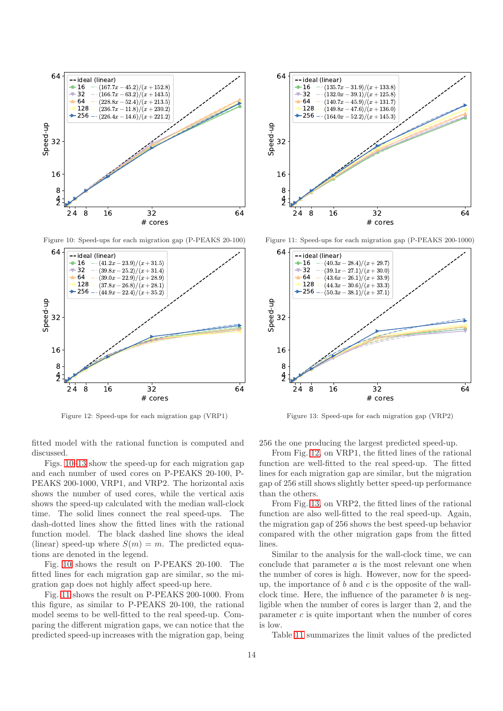<span id="page-13-0"></span>

Figure 10: Speed-ups for each migration gap (P-PEAKS 20-100)



Figure 12: Speed-ups for each migration gap (VRP1)



Figure 11: Speed-ups for each migration gap (P-PEAKS 200-1000)



Figure 13: Speed-ups for each migration gap (VRP2)

fitted model with the rational function is computed and discussed.

Figs. [10–13](#page-13-0) show the speed-up for each migration gap and each number of used cores on P-PEAKS 20-100, P-PEAKS 200-1000, VRP1, and VRP2. The horizontal axis shows the number of used cores, while the vertical axis shows the speed-up calculated with the median wall-clock time. The solid lines connect the real speed-ups. The dash-dotted lines show the fitted lines with the rational function model. The black dashed line shows the ideal (linear) speed-up where  $S(m) = m$ . The predicted equations are denoted in the legend.

Fig. [10](#page-13-0) shows the result on P-PEAKS 20-100. The fitted lines for each migration gap are similar, so the migration gap does not highly affect speed-up here.

Fig. [11](#page-13-0) shows the result on P-PEAKS 200-1000. From this figure, as similar to P-PEAKS 20-100, the rational model seems to be well-fitted to the real speed-up. Comparing the different migration gaps, we can notice that the predicted speed-up increases with the migration gap, being 256 the one producing the largest predicted speed-up.

From Fig. [12,](#page-13-0) on VRP1, the fitted lines of the rational function are well-fitted to the real speed-up. The fitted lines for each migration gap are similar, but the migration gap of 256 still shows slightly better speed-up performance than the others.

From Fig. [13,](#page-13-0) on VRP2, the fitted lines of the rational function are also well-fitted to the real speed-up. Again, the migration gap of 256 shows the best speed-up behavior compared with the other migration gaps from the fitted lines.

Similar to the analysis for the wall-clock time, we can conclude that parameter  $a$  is the most relevant one when the number of cores is high. However, now for the speedup, the importance of  $b$  and  $c$  is the opposite of the wallclock time. Here, the influence of the parameter  $b$  is negligible when the number of cores is larger than 2, and the parameter  $c$  is quite important when the number of cores is low.

Table [11](#page-14-2) summarizes the limit values of the predicted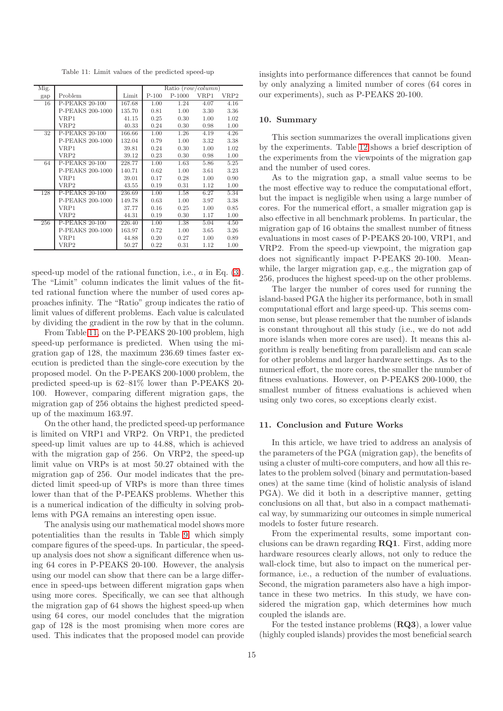Table 11: Limit values of the predicted speed-up

<span id="page-14-2"></span>

| Mig. |                       |        |         | Ratio (row/column) |      |      |
|------|-----------------------|--------|---------|--------------------|------|------|
| gap  | Problem               | Limit  | $P-100$ | $P-1000$           | VRP1 | VRP2 |
| 16   | P-PEAKS 20-100        | 167.68 | 1.00    | 1.24               | 4.07 | 4.16 |
|      | P-PEAKS 200-1000      | 135.70 | 0.81    | 1.00               | 3.30 | 3.36 |
|      | VRP1                  | 41.15  | 0.25    | 0.30               | 1.00 | 1.02 |
|      | VRP2                  | 40.33  | 0.24    | 0.30               | 0.98 | 1.00 |
| 32   | <b>P-PEAKS 20-100</b> | 166.66 | 1.00    | 1.26               | 4.19 | 4.26 |
|      | P-PEAKS 200-1000      | 132.04 | 0.79    | 1.00               | 3.32 | 3.38 |
|      | VRP1                  | 39.81  | 0.24    | 0.30               | 1.00 | 1.02 |
|      | VRP2                  | 39.12  | 0.23    | 0.30               | 0.98 | 1.00 |
| 64   | P-PEAKS 20-100        | 228.77 | 1.00    | 1.63               | 5.86 | 5.25 |
|      | P-PEAKS 200-1000      | 140.71 | 0.62    | 1.00               | 3.61 | 3.23 |
|      | VRP1                  | 39.01  | 0.17    | 0.28               | 1.00 | 0.90 |
|      | VRP2                  | 43.55  | 0.19    | 0.31               | 1.12 | 1.00 |
| 128  | P-PEAKS 20-100        | 236.69 | 1.00    | 1.58               | 6.27 | 5.34 |
|      | P-PEAKS 200-1000      | 149.78 | 0.63    | 1.00               | 3.97 | 3.38 |
|      | VRP1                  | 37.77  | 0.16    | 0.25               | 1.00 | 0.85 |
|      | VRP2                  | 44.31  | 0.19    | 0.30               | 1.17 | 1.00 |
| 256  | P-PEAKS 20-100        | 226.40 | 1.00    | 1.38               | 5.04 | 4.50 |
|      | P-PEAKS 200-1000      | 163.97 | 0.72    | 1.00               | 3.65 | 3.26 |
|      | VRP1                  | 44.88  | 0.20    | 0.27               | 1.00 | 0.89 |
|      | VRP2                  | 50.27  | 0.22    | 0.31               | 1.12 | 1.00 |

speed-up model of the rational function, i.e., a in Eq. [\(3\)](#page-3-4). The "Limit" column indicates the limit values of the fitted rational function where the number of used cores approaches infinity. The "Ratio" group indicates the ratio of limit values of different problems. Each value is calculated by dividing the gradient in the row by that in the column.

From Table [11,](#page-14-2) on the P-PEAKS 20-100 problem, high speed-up performance is predicted. When using the migration gap of 128, the maximum 236.69 times faster execution is predicted than the single-core execution by the proposed model. On the P-PEAKS 200-1000 problem, the predicted speed-up is 62–81% lower than P-PEAKS 20- 100. However, comparing different migration gaps, the migration gap of 256 obtains the highest predicted speedup of the maximum 163.97.

On the other hand, the predicted speed-up performance is limited on VRP1 and VRP2. On VRP1, the predicted speed-up limit values are up to 44.88, which is achieved with the migration gap of 256. On VRP2, the speed-up limit value on VRPs is at most 50.27 obtained with the migration gap of 256. Our model indicates that the predicted limit speed-up of VRPs is more than three times lower than that of the P-PEAKS problems. Whether this is a numerical indication of the difficulty in solving problems with PGA remains an interesting open issue.

The analysis using our mathematical model shows more potentialities than the results in Table [9,](#page-12-1) which simply compare figures of the speed-ups. In particular, the speedup analysis does not show a significant difference when using 64 cores in P-PEAKS 20-100. However, the analysis using our model can show that there can be a large difference in speed-ups between different migration gaps when using more cores. Specifically, we can see that although the migration gap of 64 shows the highest speed-up when using 64 cores, our model concludes that the migration gap of 128 is the most promising when more cores are used. This indicates that the proposed model can provide

insights into performance differences that cannot be found by only analyzing a limited number of cores (64 cores in our experiments), such as P-PEAKS 20-100.

## <span id="page-14-0"></span>10. Summary

This section summarizes the overall implications given by the experiments. Table [12](#page-15-0) shows a brief description of the experiments from the viewpoints of the migration gap and the number of used cores.

As to the migration gap, a small value seems to be the most effective way to reduce the computational effort, but the impact is negligible when using a large number of cores. For the numerical effort, a smaller migration gap is also effective in all benchmark problems. In particular, the migration gap of 16 obtains the smallest number of fitness evaluations in most cases of P-PEAKS 20-100, VRP1, and VRP2. From the speed-up viewpoint, the migration gap does not significantly impact P-PEAKS 20-100. Meanwhile, the larger migration gap, e.g., the migration gap of 256, produces the highest speed-up on the other problems.

The larger the number of cores used for running the island-based PGA the higher its performance, both in small computational effort and large speed-up. This seems common sense, but please remember that the number of islands is constant throughout all this study (i.e., we do not add more islands when more cores are used). It means this algorithm is really benefiting from parallelism and can scale for other problems and larger hardware settings. As to the numerical effort, the more cores, the smaller the number of fitness evaluations. However, on P-PEAKS 200-1000, the smallest number of fitness evaluations is achieved when using only two cores, so exceptions clearly exist.

#### <span id="page-14-1"></span>11. Conclusion and Future Works

In this article, we have tried to address an analysis of the parameters of the PGA (migration gap), the benefits of using a cluster of multi-core computers, and how all this relates to the problem solved (binary and permutation-based ones) at the same time (kind of holistic analysis of island PGA). We did it both in a descriptive manner, getting conclusions on all that, but also in a compact mathematical way, by summarizing our outcomes in simple numerical models to foster future research.

From the experimental results, some important conclusions can be drawn regarding RQ1. First, adding more hardware resources clearly allows, not only to reduce the wall-clock time, but also to impact on the numerical performance, i.e., a reduction of the number of evaluations. Second, the migration parameters also have a high importance in these two metrics. In this study, we have considered the migration gap, which determines how much coupled the islands are.

For the tested instance problems (RQ3), a lower value (highly coupled islands) provides the most beneficial search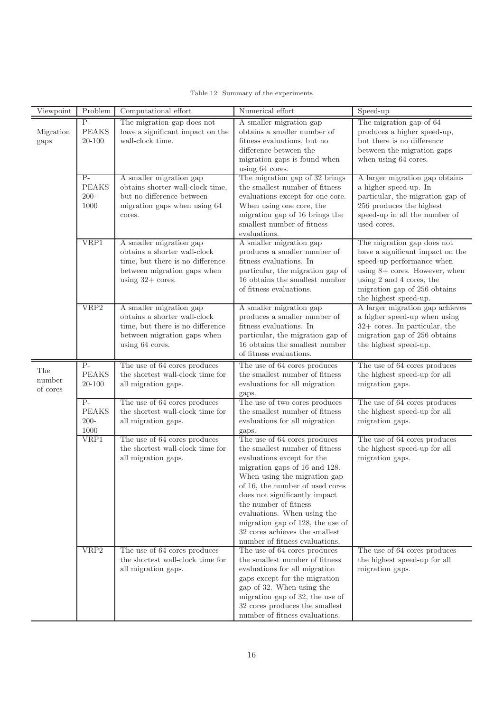<span id="page-15-0"></span>

| Viewpoint                 | Problem                                 | Computational effort                                                                                                                             | Numerical effort                                                                                                                                                                                                                                                                                                                                                                                  | Speed-up                                                                                                                                                                                                            |  |  |  |  |
|---------------------------|-----------------------------------------|--------------------------------------------------------------------------------------------------------------------------------------------------|---------------------------------------------------------------------------------------------------------------------------------------------------------------------------------------------------------------------------------------------------------------------------------------------------------------------------------------------------------------------------------------------------|---------------------------------------------------------------------------------------------------------------------------------------------------------------------------------------------------------------------|--|--|--|--|
| Migration<br>gaps         | $P-$<br><b>PEAKS</b><br>20-100          | The migration gap does not<br>have a significant impact on the<br>wall-clock time.                                                               | A smaller migration gap<br>obtains a smaller number of<br>fitness evaluations, but no<br>difference between the<br>migration gaps is found when<br>using 64 cores.                                                                                                                                                                                                                                | The migration gap of 64<br>produces a higher speed-up,<br>but there is no difference<br>between the migration gaps<br>when using 64 cores.                                                                          |  |  |  |  |
|                           | $P-$<br><b>PEAKS</b><br>$200 -$<br>1000 | A smaller migration gap<br>obtains shorter wall-clock time,<br>but no difference between<br>migration gaps when using 64<br>cores.               | The migration gap of 32 brings<br>the smallest number of fitness<br>evaluations except for one core.<br>When using one core, the<br>migration gap of 16 brings the<br>smallest number of fitness<br>evaluations.                                                                                                                                                                                  | A larger migration gap obtains<br>a higher speed-up. In<br>particular, the migration gap of<br>256 produces the highest<br>speed-up in all the number of<br>used cores.                                             |  |  |  |  |
|                           | VRP1                                    | A smaller migration gap<br>obtains a shorter wall-clock<br>time, but there is no difference<br>between migration gaps when<br>using $32+$ cores. | A smaller migration gap<br>produces a smaller number of<br>fitness evaluations. In<br>particular, the migration gap of<br>$16$ obtains the smallest number<br>of fitness evaluations.                                                                                                                                                                                                             | The migration gap does not<br>have a significant impact on the<br>speed-up performance when<br>using $8+$ cores. However, when<br>using 2 and 4 cores, the<br>migration gap of 256 obtains<br>the highest speed-up. |  |  |  |  |
|                           | VRP2                                    | A smaller migration gap<br>obtains a shorter wall-clock<br>time, but there is no difference<br>between migration gaps when<br>using 64 cores.    | A smaller migration gap<br>produces a smaller number of<br>fitness evaluations. In<br>particular, the migration gap of<br>16 obtains the smallest number<br>of fitness evaluations.                                                                                                                                                                                                               | A larger migration gap achieves<br>a higher speed-up when using<br>$32+$ cores. In particular, the<br>migration gap of 256 obtains<br>the highest speed-up.                                                         |  |  |  |  |
| The<br>number<br>of cores | $P-$<br><b>PEAKS</b><br>20-100          | The use of 64 cores produces<br>the shortest wall-clock time for<br>all migration gaps.                                                          | The use of 64 cores produces<br>the smallest number of fitness<br>evaluations for all migration<br>gaps.                                                                                                                                                                                                                                                                                          | The use of 64 cores produces<br>the highest speed-up for all<br>migration gaps.                                                                                                                                     |  |  |  |  |
|                           | $P-$<br><b>PEAKS</b><br>$200 -$<br>1000 | The use of 64 cores produces<br>the shortest wall-clock time for<br>all migration gaps.                                                          | The use of two cores produces<br>the smallest number of fitness<br>evaluations for all migration<br>gaps.                                                                                                                                                                                                                                                                                         | The use of 64 cores produces<br>the highest speed-up for all<br>migration gaps.                                                                                                                                     |  |  |  |  |
|                           | VRP1                                    | The use of 64 cores produces<br>the shortest wall-clock time for<br>all migration gaps.                                                          | The use of 64 cores produces<br>the smallest number of fitness<br>evaluations except for the<br>migration gaps of 16 and 128.<br>When using the migration gap<br>of 16, the number of used cores<br>does not significantly impact<br>the number of fitness<br>evaluations. When using the<br>migration gap of 128, the use of<br>32 cores achieves the smallest<br>number of fitness evaluations. | The use of 64 cores produces<br>the highest speed-up for all<br>migration gaps.                                                                                                                                     |  |  |  |  |
|                           | VRP2                                    | The use of 64 cores produces<br>the shortest wall-clock time for<br>all migration gaps.                                                          | The use of 64 cores produces<br>the smallest number of fitness<br>evaluations for all migration<br>gaps except for the migration<br>gap of 32. When using the<br>migration gap of 32, the use of<br>32 cores produces the smallest<br>number of fitness evaluations.                                                                                                                              | The use of 64 cores produces<br>the highest speed-up for all<br>migration gaps.                                                                                                                                     |  |  |  |  |

# Table 12: Summary of the experiments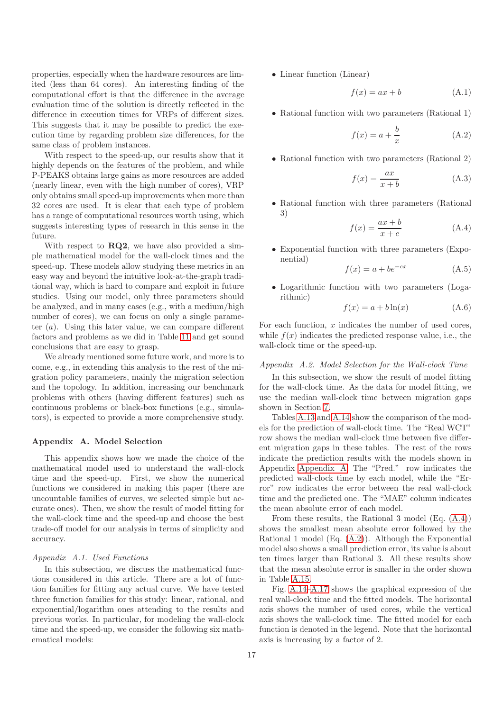properties, especially when the hardware resources are limited (less than 64 cores). An interesting finding of the computational effort is that the difference in the average evaluation time of the solution is directly reflected in the difference in execution times for VRPs of different sizes. This suggests that it may be possible to predict the execution time by regarding problem size differences, for the same class of problem instances.

With respect to the speed-up, our results show that it highly depends on the features of the problem, and while P-PEAKS obtains large gains as more resources are added (nearly linear, even with the high number of cores), VRP only obtains small speed-up improvements when more than 32 cores are used. It is clear that each type of problem has a range of computational resources worth using, which suggests interesting types of research in this sense in the future.

With respect to  $RQ2$ , we have also provided a simple mathematical model for the wall-clock times and the speed-up. These models allow studying these metrics in an easy way and beyond the intuitive look-at-the-graph traditional way, which is hard to compare and exploit in future studies. Using our model, only three parameters should be analyzed, and in many cases (e.g., with a medium/high number of cores), we can focus on only a single parameter  $(a)$ . Using this later value, we can compare different factors and problems as we did in Table [11](#page-14-2) and get sound conclusions that are easy to grasp.

We already mentioned some future work, and more is to come, e.g., in extending this analysis to the rest of the migration policy parameters, mainly the migration selection and the topology. In addition, increasing our benchmark problems with others (having different features) such as continuous problems or black-box functions (e.g., simulators), is expected to provide a more comprehensive study.

#### <span id="page-16-0"></span>Appendix A. Model Selection

This appendix shows how we made the choice of the mathematical model used to understand the wall-clock time and the speed-up. First, we show the numerical functions we considered in making this paper (there are uncountable families of curves, we selected simple but accurate ones). Then, we show the result of model fitting for the wall-clock time and the speed-up and choose the best trade-off model for our analysis in terms of simplicity and accuracy.

### *Appendix A.1. Used Functions*

In this subsection, we discuss the mathematical functions considered in this article. There are a lot of function families for fitting any actual curve. We have tested three function families for this study: linear, rational, and exponential/logarithm ones attending to the results and previous works. In particular, for modeling the wall-clock time and the speed-up, we consider the following six mathematical models:

• Linear function (Linear)

<span id="page-16-4"></span><span id="page-16-2"></span>
$$
f(x) = ax + b \tag{A.1}
$$

• Rational function with two parameters (Rational 1)

$$
f(x) = a + \frac{b}{x}
$$
 (A.2)

• Rational function with two parameters (Rational 2)

<span id="page-16-3"></span>
$$
f(x) = \frac{ax}{x+b}
$$
 (A.3)

<span id="page-16-1"></span>• Rational function with three parameters (Rational 3)

$$
f(x) = \frac{ax+b}{x+c}
$$
 (A.4)

• Exponential function with three parameters (Exponential)

$$
f(x) = a + be^{-cx} \tag{A.5}
$$

• Logarithmic function with two parameters (Logarithmic)

$$
f(x) = a + b \ln(x) \tag{A.6}
$$

For each function,  $x$  indicates the number of used cores, while  $f(x)$  indicates the predicted response value, i.e., the wall-clock time or the speed-up.

#### *Appendix A.2. Model Selection for the Wall-clock Time*

In this subsection, we show the result of model fitting for the wall-clock time. As the data for model fitting, we use the median wall-clock time between migration gaps shown in Section [7.](#page-6-0)

Tables [A.13](#page-17-0) and [A.14](#page-17-0) show the comparison of the models for the prediction of wall-clock time. The "Real WCT" row shows the median wall-clock time between five different migration gaps in these tables. The rest of the rows indicate the prediction results with the models shown in Appendix [Appendix A.](#page-16-0) The "Pred." row indicates the predicted wall-clock time by each model, while the "Error" row indicates the error between the real wall-clock time and the predicted one. The "MAE" column indicates the mean absolute error of each model.

From these results, the Rational 3 model (Eq. [\(A.4\)](#page-16-1)) shows the smallest mean absolute error followed by the Rational 1 model (Eq. [\(A.2\)](#page-16-2)). Although the Exponential model also shows a small prediction error, its value is about ten times larger than Rational 3. All these results show that the mean absolute error is smaller in the order shown in Table [A.15.](#page-17-1)

Fig. [A.14–A.17](#page-18-3) shows the graphical expression of the real wall-clock time and the fitted models. The horizontal axis shows the number of used cores, while the vertical axis shows the wall-clock time. The fitted model for each function is denoted in the legend. Note that the horizontal axis is increasing by a factor of 2.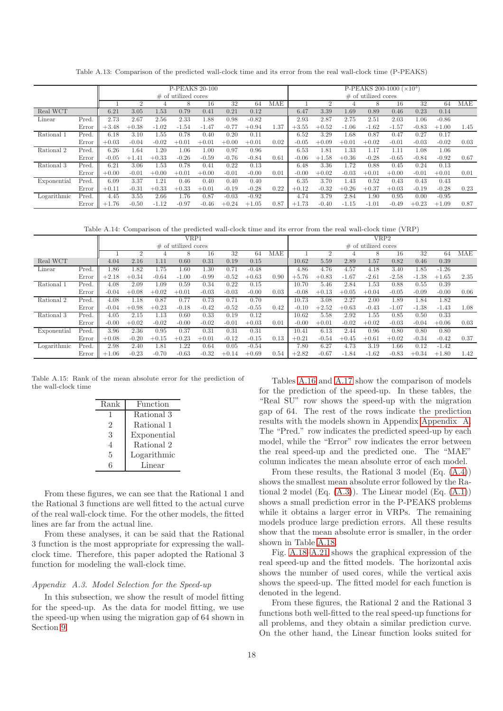<span id="page-17-0"></span>

|             |       |         |             |               | <b>P-PEAKS 20-100</b>  |         |         |         | $P-PEAKS$ 200-1000 ( $\times$ 10 <sup>3</sup> ) |         |         |         |         |         |          |         |      |  |
|-------------|-------|---------|-------------|---------------|------------------------|---------|---------|---------|-------------------------------------------------|---------|---------|---------|---------|---------|----------|---------|------|--|
|             |       |         |             |               | $\#$ of utilized cores |         |         |         | $\#$ of utilized cores                          |         |         |         |         |         |          |         |      |  |
|             |       |         |             |               |                        |         |         |         |                                                 |         |         |         |         |         |          |         |      |  |
|             |       |         |             |               |                        | 16      | 32      | 64      | MAE                                             |         |         |         |         | 16      | 32       | 64      | MAE  |  |
| Real WCT    |       | 6.21    | 3.05        | 1.53          | 0.79                   | 0.41    | 0.21    | 0.12    |                                                 | 6.47    | 3.39    | 1.69    | 0.89    | 0.46    | 0.23     | 0.14    |      |  |
| Linear      | Pred  | 2.73    | 2.67        | 2.56          | 2.33                   | .88     | 0.98    | $-0.82$ |                                                 | 2.93    | 2.87    | 2.75    | 2.51    | 2.03    | $1.06\,$ | $-0.86$ |      |  |
|             | Error | $+3.48$ | $+0.38$     | $-1.02$       | $-1.54$                | $-1.47$ | $-0.77$ | $+0.94$ | 1.37                                            | $+3.55$ | $+0.52$ | $-1.06$ | $-1.62$ | $-1.57$ | $-0.83$  | $+1.00$ | 1.45 |  |
| Rational    | Pred. | 6.18    | 3.10        | 1.55          | 0.78                   | 0.40    | 0.20    | 0.11    |                                                 | 6.52    | 3.29    | .68     | 0.87    | 0.47    | 0.27     | 0.17    |      |  |
|             | Error | $+0.03$ | $-0.04$     | $-0.02$       | $+0.0$                 | $+0.01$ | $+0.00$ | $+0.01$ | 0.02                                            | $-0.05$ | $+0.09$ | $+0.01$ | $+0.02$ | $-0.01$ | $-0.03$  | $-0.02$ | 0.03 |  |
| Rational 2  | Pred. | 6.26    | .64         | 1.20          | L.06                   | 1.00    | 0.97    | 0.96    |                                                 | 6.53    | 1.81    | 1.33    |         | 1.11    | 1.08     | 1.06    |      |  |
|             | Error | $-0.05$ | .41<br>$+1$ | $+0.33$       | $-0.26$                | $-0.59$ | $-0.76$ | $-0.84$ | 0.61                                            | $-0.06$ | $+1.58$ | $+0.36$ | $-0.28$ | $-0.65$ | $-0.84$  | $-0.92$ | 0.67 |  |
| Rational 3  | Pred. | 6.21    | 3.06        | .53           | 0.78                   | 0.41    | 0.22    | 0.13    |                                                 | 6.48    | 3.36    | 1.72    | 0.88    | 0.45    | 0.24     | 0.13    |      |  |
|             | Error | $+0.00$ | $-0.01$     | $+0.00$       | $+0.01$                | $+0.00$ | $-0.01$ | $-0.00$ | 0.01                                            | $-0.00$ | $+0.02$ | $-0.03$ | $+0.01$ | $+0.00$ | $-0.01$  | $+0.01$ | 0.01 |  |
| Exponential | Pred. | 6.09    | 3.37        | $1.2^{\circ}$ | 0.46                   | 0.40    | 0.40    | 0.40    |                                                 | 6.35    | 3.70    | 1.43    | 0.52    | 0.43    | 0.43     | 0.43    |      |  |
|             | Error | $+0.11$ | $-0.31$     | $+0.33$       | $+0.33$                | $+0.01$ | $-0.19$ | $-0.28$ | 0.22                                            | $+0.12$ | $-0.32$ | $+0.26$ | $+0.37$ | $+0.03$ | $-0.19$  | $-0.28$ | 0.23 |  |
| Logarithmic | Pred. | 4.45    | 3.55        | 2.66          | 1.76                   | 0.87    | $-0.03$ | $-0.92$ |                                                 | 4.74    | 3.79    | 2.84    | .90     | 0.95    | 0.00     | $-0.95$ |      |  |
|             | Error | $+1.76$ | $-0.50$     | $-1.12$       | $-0.97$                | $-0.46$ | $+0.24$ | $+1.05$ | 0.87                                            | $+1.73$ | $-0.40$ | $-1.15$ | $-1.01$ | $-0.49$ | $+0.23$  | $+1.09$ | 0.87 |  |

Table A.13: Comparison of the predicted wall-clock time and its error from the real wall-clock time (P-PEAKS)

Table A.14: Comparison of the predicted wall-clock time and its error from the real wall-clock time (VRP)

|             |       |         |                |         | VRP1                   |         |         |         | VRP2                   |         |         |         |          |         |         |         |      |
|-------------|-------|---------|----------------|---------|------------------------|---------|---------|---------|------------------------|---------|---------|---------|----------|---------|---------|---------|------|
|             |       |         |                |         | $\#$ of utilized cores |         |         |         | $\#$ of utilized cores |         |         |         |          |         |         |         |      |
|             |       |         | $\overline{2}$ |         | 8                      | 16      | 32      | 64      | MAE                    |         | 2       |         |          | 16      | 32      | 64      | MAE  |
| Real WCT    |       | 4.04    | 2.16           | 1.11    | 0.60                   | 0.31    | 0.19    | 0.15    |                        | 10.62   | 5.59    | 2.89    | 1.57     | 0.82    | 0.46    | 0.39    |      |
| Linear      | Pred  | 1.86    | 1.82           | 1.75    | 1.60                   | 1.30    | 0.71    | $-0.48$ |                        | 4.86    | 4.76    | 4.57    | 4.18     | 3.40    | 1.85    | $-1.26$ |      |
|             | Error | $+2.18$ | $+0.34$        | $-0.64$ | $-1.00$                | $-0.99$ | $-0.52$ | $+0.63$ | 0.90                   | $+5.76$ | $+0.83$ | $-1.67$ | $-2.61$  | $-2.58$ | $-1.38$ | $+1.65$ | 2.35 |
| Rational 1  | Pred. | 4.08    | 2.09           | 1.09    | 0.59                   | 0.34    | 0.22    | 0.15    |                        | 10.70   | 5.46    | 2.84    | $1.53\,$ | 0.88    | 0.55    | 0.39    |      |
|             | Error | $-0.04$ | $+0.08$        | $+0.02$ | $+0.01$                | $-0.03$ | $-0.03$ | $-0.00$ | 0.03                   | $-0.08$ | $+0.13$ | $+0.05$ | $+0.04$  | $-0.05$ | $-0.09$ | $-0.00$ | 0.06 |
| Rational 2  | Pred. | 4.08    | 1.18           | 0.87    | 0.77                   | 0.73    | 0.71    | 0.70    |                        | 10.73   | 3.08    | 2.27    | 2.00     | .89     | 1.84    | 1.82    |      |
|             | Error | $-0.04$ | $+0.98$        | $+0.23$ | $-0.18$                | $-0.42$ | $-0.52$ | $-0.55$ | 0.42                   | $-0.10$ | $+2.52$ | $+0.63$ | $-0.43$  | $-1.07$ | $-1.38$ | $-1.43$ | 1.08 |
| Rational 3  | Pred. | 4.05    | 2.15           | 1.13    | 0.60                   | 0.33    | 0.19    | 0.12    |                        | 10.62   | 5.58    | 2.92    | $1.55\,$ | 0.85    | 0.50    | 0.33    |      |
|             | Error | $-0.00$ | $+0.02$        | $-0.02$ | $-0.00$                | $-0.02$ | $-0.01$ | $+0.03$ | 0.01                   | $-0.00$ | $+0.01$ | $-0.02$ | $+0.02$  | $-0.03$ | $-0.04$ | $+0.06$ | 0.03 |
| Exponential | Pred. | 3.96    | 2.36           | 0.95    | 0.37                   | 0.31    | 0.31    | 0.31    |                        | 10.41   | 6.13    | 2.44    | 0.96     | 0.80    | 0.80    | 0.80    |      |
|             | Error | $+0.08$ | $-0.20$        | $+0.15$ | $+0.23$                | $+0.01$ | $-0.12$ | $-0.15$ | 0.13                   | $+0.21$ | $-0.54$ | $+0.45$ | $+0.61$  | $+0.02$ | $-0.34$ | $-0.42$ | 0.37 |
| Logarithmic | Pred. | 2.98    | 2.40           | 1.81    | .22                    | 0.64    | 0.05    | $-0.54$ |                        | 7.80    | 6.27    | 4.73    | 3.19     | .66     | 0.12    | $-1.42$ |      |
|             | Error | $+1.06$ | $-0.23$        | $-0.70$ | $-0.63$                | $-0.32$ | $+0.14$ | $+0.69$ | 0.54                   | $+2.82$ | $-0.67$ | $-1.84$ | $-1.62$  | $-0.83$ | $+0.34$ | $+1.80$ | 1.42 |

<span id="page-17-1"></span>Table A.15: Rank of the mean absolute error for the prediction of the wall-clock time

| Rank | Function    |
|------|-------------|
| ı    | Rational 3  |
| 2    | Rational 1  |
| 3    | Exponential |
| 4    | Rational 2  |
| 5    | Logarithmic |
| 6    | Linear      |

From these figures, we can see that the Rational 1 and the Rational 3 functions are well fitted to the actual curve of the real wall-clock time. For the other models, the fitted lines are far from the actual line.

From these analyses, it can be said that the Rational 3 function is the most appropriate for expressing the wallclock time. Therefore, this paper adopted the Rational 3 function for modeling the wall-clock time.

#### *Appendix A.3. Model Selection for the Speed-up*

In this subsection, we show the result of model fitting for the speed-up. As the data for model fitting, we use the speed-up when using the migration gap of 64 shown in Section [9.](#page-11-0)

Tables [A.16](#page-19-17) and [A.17](#page-19-17) show the comparison of models for the prediction of the speed-up. In these tables, the "Real SU" row shows the speed-up with the migration gap of 64. The rest of the rows indicate the prediction results with the models shown in Appendix [Appendix A.](#page-16-0) The "Pred." row indicates the predicted speed-up by each model, while the "Error" row indicates the error between the real speed-up and the predicted one. The "MAE" column indicates the mean absolute error of each model.

From these results, the Rational 3 model (Eq. [\(A.4\)](#page-16-1)) shows the smallest mean absolute error followed by the Rational 2 model (Eq.  $(A.3)$ ). The Linear model (Eq.  $(A.1)$ ) shows a small prediction error in the P-PEAKS problems while it obtains a larger error in VRPs. The remaining models produce large prediction errors. All these results show that the mean absolute error is smaller, in the order shown in Table [A.18.](#page-19-18)

Fig. [A.18–A.21](#page-20-13) shows the graphical expression of the real speed-up and the fitted models. The horizontal axis shows the number of used cores, while the vertical axis shows the speed-up. The fitted model for each function is denoted in the legend.

From these figures, the Rational 2 and the Rational 3 functions both well-fitted to the real speed-up functions for all problems, and they obtain a similar prediction curve. On the other hand, the Linear function looks suited for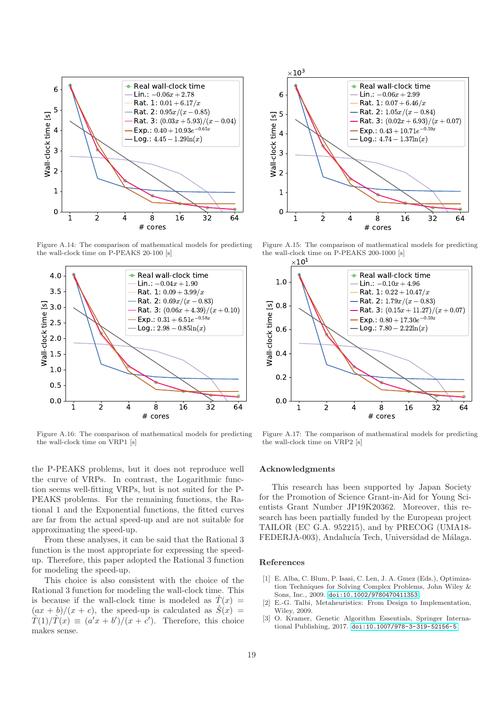<span id="page-18-3"></span>

Figure A.14: The comparison of mathematical models for predicting the wall-clock time on P-PEAKS 20-100 [s]



Figure A.16: The comparison of mathematical models for predicting the wall-clock time on VRP1 [s]

the P-PEAKS problems, but it does not reproduce well the curve of VRPs. In contrast, the Logarithmic function seems well-fitting VRPs, but is not suited for the P-PEAKS problems. For the remaining functions, the Rational 1 and the Exponential functions, the fitted curves are far from the actual speed-up and are not suitable for approximating the speed-up.

From these analyses, it can be said that the Rational 3 function is the most appropriate for expressing the speedup. Therefore, this paper adopted the Rational 3 function for modeling the speed-up.

This choice is also consistent with the choice of the Rational 3 function for modeling the wall-clock time. This is because if the wall-clock time is modeled as  $\hat{T}(x)$  =  $(ax + b)/(x + c)$ , the speed-up is calculated as  $S(x) =$  $\hat{T}(1)/\hat{T}(x) \equiv (a'x + b')/(x + c')$ . Therefore, this choice makes sense.



Figure A.15: The comparison of mathematical models for predicting the wall-clock time on P-PEAKS 200-1000 [s]



Figure A.17: The comparison of mathematical models for predicting the wall-clock time on VRP2 [s]

#### Acknowledgments

This research has been supported by Japan Society for the Promotion of Science Grant-in-Aid for Young Scientists Grant Number JP19K20362. Moreover, this research has been partially funded by the European project TAILOR (EC G.A. 952215), and by PRECOG (UMA18- FEDERJA-003), Andalucía Tech, Universidad de Málaga.

#### References

- <span id="page-18-0"></span>[1] E. Alba, C. Blum, P. Isasi, C. Len, J. A. Gmez (Eds.), Optimization Techniques for Solving Complex Problems, John Wiley & Sons, Inc., 2009. [doi:10.1002/9780470411353](http://dx.doi.org/10.1002/9780470411353).
- <span id="page-18-1"></span>[2] E.-G. Talbi, Metaheuristics: From Design to Implementation, Wiley, 2009.
- <span id="page-18-2"></span>[3] O. Kramer, Genetic Algorithm Essentials, Springer International Publishing, 2017. [doi:10.1007/978-3-319-52156-5](http://dx.doi.org/10.1007/978-3-319-52156-5).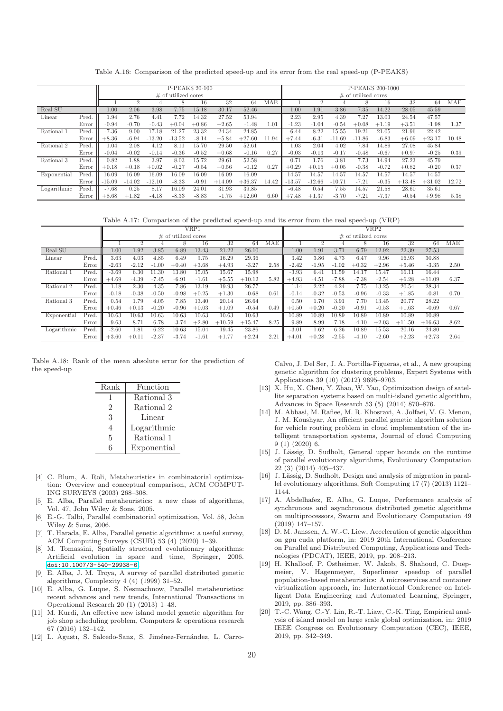Table A.16: Comparison of the predicted speed-up and its error from the real speed-up (P-PEAKS)

<span id="page-19-17"></span>

|             |       |          |                |          | P-PEAKS 20-100         |         |          |          |                        | P-PEAKS 200-1000 |          |           |          |         |          |          |            |  |
|-------------|-------|----------|----------------|----------|------------------------|---------|----------|----------|------------------------|------------------|----------|-----------|----------|---------|----------|----------|------------|--|
|             |       |          |                |          | $\#$ of utilized cores |         |          |          | $\#$ of utilized cores |                  |          |           |          |         |          |          |            |  |
|             |       |          | $\overline{2}$ |          |                        | 16      | 32       | 64       | MAE                    |                  | 2        |           |          | 16      | 32       | 64       | <b>MAE</b> |  |
| Real SU     |       | 1.00     | 2.06           | 3.98     | 7.75                   | 15.18   | 30.17    | 52.46    |                        | 1.00             | 1.91     | 3.86      | 7.35     | 14.22   | 28.05    | 45.59    |            |  |
| Linear      | Pred. | 1.94     | 2.76           | 4.41     | 7.72                   | 14.32   | 27.52    | 53.94    |                        | 2.23             | 2.95     | 4.39      | 7.27     | 13.03   | 24.54    | 47.57    |            |  |
|             | Error | $-0.94$  | $-0.70$        | $-0.43$  | $+0.04$                | $+0.86$ | $+2.65$  | $-1.48$  | 1.01                   | $-1.23$          | $-1.04$  | $-0.54$   | $+0.08$  | $+1.19$ | $+3.51$  | $-1.98$  | 1.37       |  |
| Rational    | Pred. | $-7.36$  | 9.00           | 17.18    | 21.27                  | 23.32   | 24.34    | 24.85    |                        | $-6.44$          | 8.22     | $15.55\,$ | 19.21    | 21.05   | 21.96    | 22.42    |            |  |
|             | Error | $+8.36$  | $-6.94$        | $-13.20$ | $-13.52$               | $-8.14$ | $+5.84$  | $+27.60$ | 11.94                  | $+7.44$          | $-6.31$  | $-11.69$  | $-11.86$ | $-6.83$ | $+6.09$  | $+23.17$ | 10.48      |  |
| Rational 2  | Pred. | 1.04     | 2.08           | 4.12     | 8.11                   | 15.70   | 29.50    | 52.61    |                        | 1.03             | 2.04     | 4.02      | 7.84     | 14.89   | 27.08    | 45.84    |            |  |
|             | Error | $-0.04$  | $-0.02$        | $-0.14$  | $-0.36$                | $-0.52$ | $+0.68$  | $-0.16$  | 0.27                   | $-0.03$          | $-0.13$  | $-0.17$   | $-0.48$  | $-0.67$ | $+0.97$  | $-0.25$  | 0.39       |  |
| Rational 3  | Pred. | 0.82     | 1.88           | 3.97     | 8.03                   | 15.72   | 29.61    | 52.58    |                        | 0.71             | 1.76     | 3.81      | 7.73     | 14.94   | 27.23    | 45.79    |            |  |
|             | Error | $+0.18$  | $+0.18$        | $+0.02$  | $-0.27$                | $-0.54$ | $+0.56$  | $-0.12$  | 0.27                   | $+0.29$          | $+0.15$  | $+0.05$   | $-0.38$  | $-0.72$ | $+0.82$  | $-0.20$  | 0.37       |  |
| Exponential | Pred. | 16.09    | 16.09          | 16.09    | 16.09                  | 16.09   | 16.09    | 16.09    |                        | 14.57            | 14.57    | 14.57     | 14.57    | 14.57   | 14.57    | 14.57    |            |  |
|             | Error | $-15.09$ | $-14.02$       | $-12.10$ | $-8.33$                | $-0.91$ | $+14.09$ | $+36.37$ | 14.42                  | $-13.57$         | $-12.66$ | $-10.71$  | $-7.21$  | $-0.35$ | $+13.48$ | $+31.02$ | 12.72      |  |
| Logarithmic | Pred. | $-7.68$  | 0.25           | 8.17     | 16.09                  | 24.01   | 31.93    | 39.85    |                        | $-6.48$          | 0.54     | 7.55      | 14.57    | 21.58   | 28.60    | 35.61    |            |  |
|             | Error | $+8.68$  | $+1.82$        | $-4.18$  | $-8.33$                | $-8.83$ | $-1.75$  | $+12.60$ | 6.60                   | $+7.48$          | $+1.37$  | $-3.70$   | $-7.21$  | $-7.37$ | $-0.54$  | $+9.98$  | 5.38       |  |

Table A.17: Comparison of the predicted speed-up and its error from the real speed-up (VRP)

|             |       |         |         |         |                        | VRP1    |          |          | VRP2                   |         |         |         |         |         |          |          |      |
|-------------|-------|---------|---------|---------|------------------------|---------|----------|----------|------------------------|---------|---------|---------|---------|---------|----------|----------|------|
|             |       |         |         |         | $\#$ of utilized cores |         |          |          | $\#$ of utilized cores |         |         |         |         |         |          |          |      |
|             |       |         |         |         |                        | 16      | 32       | 64       | MAE                    |         |         |         | 8       | 16      | 32       | 64       | MAE  |
| Real SU     |       | 1.00    | 1.92    | 3.85    | 6.89                   | 13.43   | 21.22    | 26.10    |                        | 1.00    | 1.91    | 3.71    | 6.79    | 12.92   | 22.39    | 27.53    |      |
| Linear      | Pred  | 3.63    | 4.03    | 4.85    | 6.49                   | 9.75    | 16.29    | 29.36    |                        | 3.42    | 3.86    | 4.73    | 6.47    | 9.96    | 16.93    | 30.88    |      |
|             | Error | $-2.63$ | $-2.12$ | $-1.00$ | $+0.40$                | $+3.68$ | $+4.93$  | $-3.27$  | 2.58                   | $-2.42$ | $-1.95$ | $-1.02$ | $+0.32$ | $+2.96$ | $+5.46$  | $-3.35$  | 2.50 |
| Rational 1  | Pred. | $-3.69$ | 6.30    | 11.30   | 13.80                  | 15.05   | 15.67    | 15.98    |                        | $-3.93$ | 6.41    | 11.59   | 14.17   | 15.47   | 16.11    | 16.44    |      |
|             | Error | $+4.69$ | $-4.39$ | $-7.45$ | $-6.91$                | $-1.61$ | $+5.55$  | $+10.12$ | 5.82                   | $+4.93$ | $-4.51$ | $-7.88$ | $-7.38$ | $-2.54$ | $+6.28$  | $+11.09$ | 6.37 |
| Rational 2  | Pred  | 1.18    | 2.30    | 4.35    | 7.86                   | 13.19   | 19.93    | 26.77    |                        | .14     | 2.22    | 4.24    | 7.75    | 13.25   | 20.54    | 28.34    |      |
|             | Error | $-0.18$ | $-0.38$ | $-0.50$ | $-0.98$                | $+0.25$ | $+1.30$  | $-0.68$  | 0.61                   | $-0.14$ | $-0.32$ | $-0.53$ | $-0.96$ | $-0.33$ | $+1.85$  | $-0.81$  | 0.70 |
| Rational 3  | Pred  | 0.54    | .79     | 4.05    | 7.85                   | 13.40   | 20.14    | 26.64    |                        | 0.50    | 1.70    | 3.91    | 7.70    | 13.45   | 20.77    | 28.22    |      |
|             | Error | $+0.46$ | $+0.13$ | $-0.20$ | $-0.96$                | $+0.03$ | $+1.09$  | $-0.54$  | 0.49                   | $+0.50$ | $+0.20$ | $-0.20$ | $-0.91$ | $-0.53$ | $+1.63$  | $-0.69$  | 0.67 |
| Exponential | Pred. | 10.63   | 10.63   | 10.63   | 10.63                  | 10.63   | 10.63    | 10.63    |                        | 10.89   | 10.89   | 10.89   | 10.89   | 10.89   | 10.89    | 10.89    |      |
|             | Error | $-9.63$ | $-8.71$ | $-6.78$ | $-3.74$                | $+2.80$ | $+10.59$ | $+15.47$ | 8.25                   | $-9.89$ | $-8.99$ | $-7.18$ | $-4.10$ | $+2.03$ | $+11.50$ | $+16.63$ | 8.62 |
| Logarithmic | Pred. | $-2.60$ | 1.81    | 6.22    | 10.63                  | 15.04   | 19.45    | 23.86    |                        | $-3.01$ | 1.62    | 6.26    | 10.89   | 15.53   | 20.16    | 24.80    |      |
|             | Error | $+3.60$ | $+0.11$ | $-2.37$ | $-3.74$                | $-1.61$ | $+1.77$  | $+2.24$  | 2.21                   | $+4.01$ | $+0.28$ | $-2.55$ | $-4.10$ | $-2.60$ | $+2.23$  | $+2.73$  | 2.64 |

<span id="page-19-18"></span>Table A.18: Rank of the mean absolute error for the prediction of the speed-up

| Rank | Function    |
|------|-------------|
| ı    | Rational 3  |
| 2    | Rational 2  |
| 3    | Linear      |
| 4    | Logarithmic |
| 5    | Rational 1  |
| հ    | Exponential |

- <span id="page-19-0"></span>[4] C. Blum, A. Roli, Metaheuristics in combinatorial optimization: Overview and conceptual comparison, ACM COMPUT-ING SURVEYS (2003) 268–308.
- <span id="page-19-1"></span>[5] E. Alba, Parallel metaheuristics: a new class of algorithms, Vol. 47, John Wiley & Sons, 2005.
- <span id="page-19-2"></span>[6] E.-G. Talbi, Parallel combinatorial optimization, Vol. 58, John Wiley & Sons, 2006.
- <span id="page-19-3"></span>[7] T. Harada, E. Alba, Parallel genetic algorithms: a useful survey, ACM Computing Surveys (CSUR) 53 (4) (2020) 1–39.
- <span id="page-19-4"></span>[8] M. Tomassini, Spatially structured evolutionary algorithms: Artificial evolution in space and time, Springer, 2006. [doi:10.1007/3-540-29938-6](http://dx.doi.org/10.1007/3-540-29938-6).
- <span id="page-19-5"></span>[9] E. Alba, J. M. Troya, A survey of parallel distributed genetic algorithms, Complexity 4 (4) (1999) 31–52.
- <span id="page-19-6"></span>[10] E. Alba, G. Luque, S. Nesmachnow, Parallel metaheuristics: recent advances and new trends, International Transactions in Operational Research 20 (1) (2013) 1–48.
- <span id="page-19-7"></span>[11] M. Kurdi, An effective new island model genetic algorithm for job shop scheduling problem, Computers & operations research 67 (2016) 132–142.
- <span id="page-19-8"></span>[12] L. Agusti, S. Salcedo-Sanz, S. Jiménez-Fernández, L. Carro-

Calvo, J. Del Ser, J. A. Portilla-Figueras, et al., A new grouping genetic algorithm for clustering problems, Expert Systems with Applications 39 (10) (2012) 9695–9703.

- <span id="page-19-9"></span>[13] X. Hu, X. Chen, Y. Zhao, W. Yao, Optimization design of satellite separation systems based on multi-island genetic algorithm, Advances in Space Research 53 (5) (2014) 870–876.
- <span id="page-19-10"></span>[14] M. Abbasi, M. Rafiee, M. R. Khosravi, A. Jolfaei, V. G. Menon, J. M. Koushyar, An efficient parallel genetic algorithm solution for vehicle routing problem in cloud implementation of the intelligent transportation systems, Journal of cloud Computing 9 (1) (2020) 6.
- <span id="page-19-11"></span>[15] J. Lässig, D. Sudholt, General upper bounds on the runtime of parallel evolutionary algorithms, Evolutionary Computation 22 (3) (2014) 405–437.
- <span id="page-19-12"></span>[16] J. Lässig, D. Sudholt, Design and analysis of migration in parallel evolutionary algorithms, Soft Computing 17 (7) (2013) 1121– 1144.
- <span id="page-19-13"></span>[17] A. Abdelhafez, E. Alba, G. Luque, Performance analysis of synchronous and asynchronous distributed genetic algorithms on multiprocessors, Swarm and Evolutionary Computation 49 (2019) 147–157.
- <span id="page-19-14"></span>[18] D. M. Janssen, A. W.-C. Liew, Acceleration of genetic algorithm on gpu cuda platform, in: 2019 20th International Conference on Parallel and Distributed Computing, Applications and Technologies (PDCAT), IEEE, 2019, pp. 208–213.
- <span id="page-19-15"></span>[19] H. Khalloof, P. Ostheimer, W. Jakob, S. Shahoud, C. Duepmeier, V. Hagenmeyer, Superlinear speedup of parallel population-based metaheuristics: A microservices and container virtualization approach, in: International Conference on Intelligent Data Engineering and Automated Learning, Springer, 2019, pp. 386–393.
- <span id="page-19-16"></span>[20] T.-C. Wang, C.-Y. Lin, R.-T. Liaw, C.-K. Ting, Empirical analysis of island model on large scale global optimization, in: 2019 IEEE Congress on Evolutionary Computation (CEC), IEEE, 2019, pp. 342–349.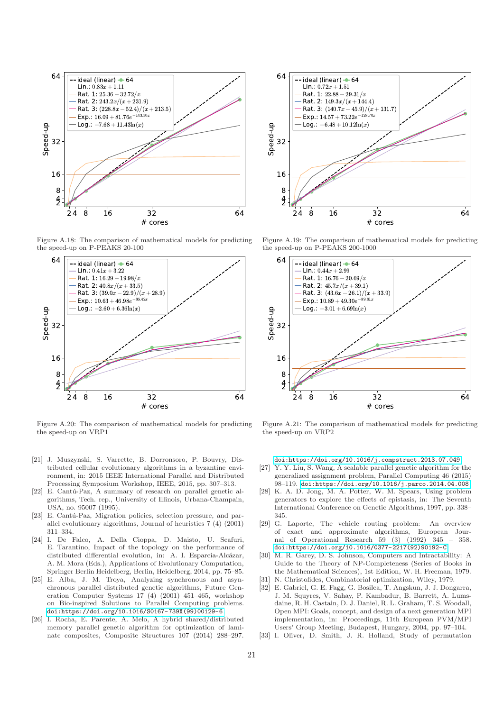<span id="page-20-13"></span>

Figure A.18: The comparison of mathematical models for predicting the speed-up on P-PEAKS 20-100



Figure A.20: The comparison of mathematical models for predicting the speed-up on VRP1

- <span id="page-20-0"></span>[21] J. Muszynski, S. Varrette, B. Dorronsoro, P. Bouvry, Distributed cellular evolutionary algorithms in a byzantine environment, in: 2015 IEEE International Parallel and Distributed Processing Symposium Workshop, IEEE, 2015, pp. 307–313.
- <span id="page-20-1"></span>[22] E. Cantú-Paz, A summary of research on parallel genetic algorithms, Tech. rep., University of Illinois, Urbana-Champain, USA, no. 95007 (1995).
- <span id="page-20-2"></span>[23] E. Cantú-Paz, Migration policies, selection pressure, and parallel evolutionary algorithms, Journal of heuristics 7 (4) (2001) 311–334.
- <span id="page-20-3"></span>[24] I. De Falco, A. Della Cioppa, D. Maisto, U. Scafuri, E. Tarantino, Impact of the topology on the performance of distributed differential evolution, in: A. I. Esparcia-Alcázar, A. M. Mora (Eds.), Applications of Evolutionary Computation, Springer Berlin Heidelberg, Berlin, Heidelberg, 2014, pp. 75–85.
- <span id="page-20-4"></span>[25] E. Alba, J. M. Troya, Analyzing synchronous and asynchronous parallel distributed genetic algorithms, Future Generation Computer Systems 17 (4) (2001) 451–465, workshop on Bio-inspired Solutions to Parallel Computing problems. [doi:https://doi.org/10.1016/S0167-739X\(99\)00129-6](http://dx.doi.org/https://doi.org/10.1016/S0167-739X(99)00129-6).
- <span id="page-20-5"></span>[26] I. Rocha, E. Parente, A. Melo, A hybrid shared/distributed memory parallel genetic algorithm for optimization of laminate composites, Composite Structures 107 (2014) 288–297.



Figure A.19: The comparison of mathematical models for predicting the speed-up on P-PEAKS 200-1000



Figure A.21: The comparison of mathematical models for predicting the speed-up on VRP2

[doi:https://doi.org/10.1016/j.compstruct.2013.07.049](http://dx.doi.org/https://doi.org/10.1016/j.compstruct.2013.07.049).

- <span id="page-20-6"></span>[27] Y. Y. Liu, S. Wang, A scalable parallel genetic algorithm for the generalized assignment problem, Parallel Computing 46 (2015) 98–119. [doi:https://doi.org/10.1016/j.parco.2014.04.008](http://dx.doi.org/https://doi.org/10.1016/j.parco.2014.04.008).
- <span id="page-20-7"></span>[28] K. A. D. Jong, M. A. Potter, W. M. Spears, Using problem generators to explore the effects of epistasis, in: The Seventh International Conference on Genetic Algorithms, 1997, pp. 338– 345.
- <span id="page-20-8"></span>[29] G. Laporte, The vehicle routing problem: An overview of exact and approximate algorithms, European Journal of Operational Research 59 (3) (1992) 345 – 358. [doi:https://doi.org/10.1016/0377-2217\(92\)90192-C](http://dx.doi.org/https://doi.org/10.1016/0377-2217(92)90192-C).
- <span id="page-20-9"></span>[30] M. R. Garey, D. S. Johnson, Computers and Intractability: A Guide to the Theory of NP-Completeness (Series of Books in the Mathematical Sciences), 1st Edition, W. H. Freeman, 1979.
- <span id="page-20-10"></span>[31] N. Christofides, Combinatorial optimization, Wiley, 1979. [32] E. Gabriel, G. E. Fagg, G. Bosilca, T. Angskun, J. J. Dongarra,
- <span id="page-20-11"></span>J. M. Squyres, V. Sahay, P. Kambadur, B. Barrett, A. Lumsdaine, R. H. Castain, D. J. Daniel, R. L. Graham, T. S. Woodall, Open MPI: Goals, concept, and design of a next generation MPI implementation, in: Proceedings, 11th European PVM/MPI Users' Group Meeting, Budapest, Hungary, 2004, pp. 97–104.
- <span id="page-20-12"></span>I. Oliver, D. Smith, J. R. Holland, Study of permutation